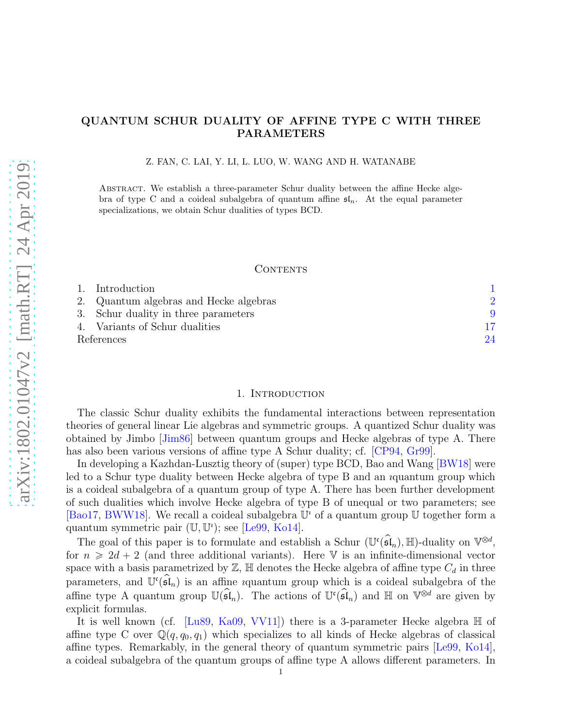# QUANTUM SCHUR DUALITY OF AFFINE TYPE C WITH THREE PARAMETERS

Z. FAN, C. LAI, Y. LI, L. LUO, W. WANG AND H. WATANABE

Abstract. We establish a three-parameter Schur duality between the affine Hecke algebra of type C and a coideal subalgebra of quantum affine  $\mathfrak{sl}_n$ . At the equal parameter specializations, we obtain Schur dualities of types BCD.

### CONTENTS

|            | 1. Introduction                        |    |
|------------|----------------------------------------|----|
|            | 2. Quantum algebras and Hecke algebras |    |
|            | 3. Schur duality in three parameters   |    |
|            | 4. Variants of Schur dualities         |    |
| References |                                        | 24 |

#### 1. Introduction

<span id="page-0-0"></span>The classic Schur duality exhibits the fundamental interactions between representation theories of general linear Lie algebras and symmetric groups. A quantized Schur duality was obtained by Jimbo [\[Jim86\]](#page-23-1) between quantum groups and Hecke algebras of type A. There has also been various versions of affine type A Schur duality; cf. [\[CP94,](#page-23-2) [Gr99\]](#page-23-3).

In developing a Kazhdan-Lusztig theory of (super) type BCD, Bao and Wang [\[BW18\]](#page-23-4) were led to a Schur type duality between Hecke algebra of type B and an ıquantum group which is a coideal subalgebra of a quantum group of type A. There has been further development of such dualities which involve Hecke algebra of type B of unequal or two parameters; see [\[Bao17,](#page-23-5) [BWW18\]](#page-23-6). We recall a coideal subalgebra  $\mathbb{U}^i$  of a quantum group  $\mathbb U$  together form a quantum symmetric pair  $(\mathbb{U}, \mathbb{U}^i)$ ; see [\[Le99,](#page-23-7) [Ko14\]](#page-23-8).

The goal of this paper is to formulate and establish a Schur  $(\mathbb{U}^{\mathfrak{c}}(\mathfrak{sl}_n), \mathbb{H})$ -duality on  $\mathbb{V}^{\otimes d}$ , for  $n \geq 2d + 2$  (and three additional variants). Here V is an infinite-dimensional vector space with a basis parametrized by  $\mathbb{Z}$ ,  $\mathbb{H}$  denotes the Hecke algebra of affine type  $C_d$  in three parameters, and  $\mathbb{U}^{\mathfrak{c}}(\mathfrak{sl}_n)$  is an affine *i*quantum group which is a coideal subalgebra of the affine type A quantum group  $\mathbb{U}(\mathfrak{sl}_n)$ . The actions of  $\mathbb{U}(\mathfrak{sl}_n)$  and H on  $\mathbb{V}^{\otimes d}$  are given by explicit formulas.

It is well known (cf. [\[Lu89,](#page-23-9) [Ka09,](#page-23-10) [VV11\]](#page-23-11)) there is a 3-parameter Hecke algebra H of affine type C over  $\mathbb{Q}(q, q_0, q_1)$  which specializes to all kinds of Hecke algebras of classical affine types. Remarkably, in the general theory of quantum symmetric pairs [\[Le99,](#page-23-7) [Ko14\]](#page-23-8), a coideal subalgebra of the quantum groups of affine type A allows different parameters. In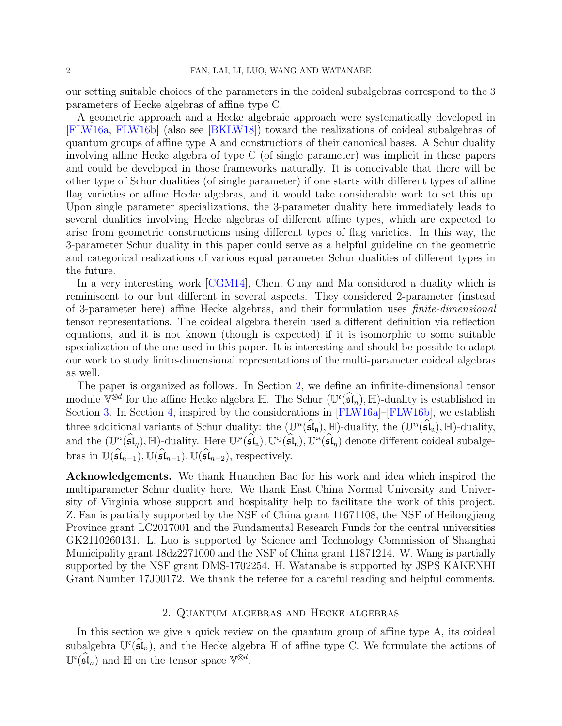our setting suitable choices of the parameters in the coideal subalgebras correspond to the 3 parameters of Hecke algebras of affine type C.

A geometric approach and a Hecke algebraic approach were systematically developed in [\[FLW16a,](#page-23-12) [FLW16b\]](#page-23-13) (also see [\[BKLW18\]](#page-23-14)) toward the realizations of coideal subalgebras of quantum groups of affine type A and constructions of their canonical bases. A Schur duality involving affine Hecke algebra of type C (of single parameter) was implicit in these papers and could be developed in those frameworks naturally. It is conceivable that there will be other type of Schur dualities (of single parameter) if one starts with different types of affine flag varieties or affine Hecke algebras, and it would take considerable work to set this up. Upon single parameter specializations, the 3-parameter duality here immediately leads to several dualities involving Hecke algebras of different affine types, which are expected to arise from geometric constructions using different types of flag varieties. In this way, the 3-parameter Schur duality in this paper could serve as a helpful guideline on the geometric and categorical realizations of various equal parameter Schur dualities of different types in the future.

In a very interesting work [\[CGM14\]](#page-23-15), Chen, Guay and Ma considered a duality which is reminiscent to our but different in several aspects. They considered 2-parameter (instead of 3-parameter here) affine Hecke algebras, and their formulation uses finite-dimensional tensor representations. The coideal algebra therein used a different definition via reflection equations, and it is not known (though is expected) if it is isomorphic to some suitable specialization of the one used in this paper. It is interesting and should be possible to adapt our work to study finite-dimensional representations of the multi-parameter coideal algebras as well.

The paper is organized as follows. In Section [2,](#page-1-0) we define an infinite-dimensional tensor module  $\mathbb{V}^{\otimes d}$  for the affine Hecke algebra  $\mathbb{H}$ . The Schur  $(\mathbb{U}^{\mathfrak{c}}(\mathfrak{sl}_n), \mathbb{H})$ -duality is established in Section [3.](#page-8-0) In Section [4,](#page-16-0) inspired by the considerations in [\[FLW16a\]](#page-23-12)–[\[FLW16b\]](#page-23-13), we establish three additional variants of Schur duality: the  $(\mathbb{U}^n(\mathfrak{sl}_n), \mathbb{H})$ -duality, the  $(\mathbb{U}^{\iota_j}(\mathfrak{sl}_n), \mathbb{H})$ -duality, and the  $(\mathbb{U}^u(\mathfrak{sl}_\eta), \mathbb{H})$ -duality. Here  $\mathbb{U}^n(\mathfrak{sl}_n), \mathbb{U}^u(\mathfrak{sl}_n)$ ,  $\mathbb{U}^u(\mathfrak{sl}_\eta)$  denote different coideal subalgebras in  $\mathbb{U}(\widehat{\mathfrak{sl}}_{n-1}), \mathbb{U}(\widehat{\mathfrak{sl}}_{n-1}), \mathbb{U}(\widehat{\mathfrak{sl}}_{n-2}),$  respectively.

Acknowledgements. We thank Huanchen Bao for his work and idea which inspired the multiparameter Schur duality here. We thank East China Normal University and University of Virginia whose support and hospitality help to facilitate the work of this project. Z. Fan is partially supported by the NSF of China grant 11671108, the NSF of Heilongjiang Province grant LC2017001 and the Fundamental Research Funds for the central universities GK2110260131. L. Luo is supported by Science and Technology Commission of Shanghai Municipality grant 18dz2271000 and the NSF of China grant 11871214. W. Wang is partially supported by the NSF grant DMS-1702254. H. Watanabe is supported by JSPS KAKENHI Grant Number 17J00172. We thank the referee for a careful reading and helpful comments.

### 2. Quantum algebras and Hecke algebras

<span id="page-1-0"></span>In this section we give a quick review on the quantum group of affine type A, its coideal subalgebra  $\mathbb{U}^{\mathfrak{c}}(\mathfrak{sl}_n)$ , and the Hecke algebra  $\mathbb{H}$  of affine type C. We formulate the actions of  $\mathbb{U}^{\mathfrak{c}}(\mathfrak{sl}_n)$  and  $\mathbb{H}$  on the tensor space  $\mathbb{V}^{\otimes d}$ .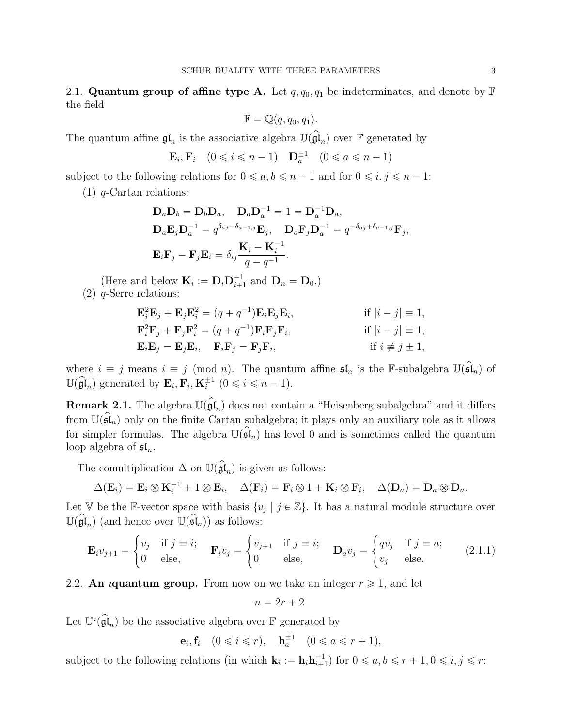<span id="page-2-1"></span>2.1. Quantum group of affine type A. Let  $q, q_0, q_1$  be indeterminates, and denote by  $\mathbb F$ the field

$$
\mathbb{F} = \mathbb{Q}(q, q_0, q_1).
$$

The quantum affine  $\mathfrak{gl}_n$  is the associative algebra  $\mathbb{U}(\mathfrak{gl}_n)$  over  $\mathbb F$  generated by

$$
\mathbf{E}_i, \mathbf{F}_i \quad (0 \le i \le n-1) \quad \mathbf{D}_a^{\pm 1} \quad (0 \le a \le n-1)
$$

subject to the following relations for  $0 \le a, b \le n - 1$  and for  $0 \le i, j \le n - 1$ :

 $(1)$  q-Cartan relations:

$$
\mathbf{D}_a \mathbf{D}_b = \mathbf{D}_b \mathbf{D}_a, \quad \mathbf{D}_a \mathbf{D}_a^{-1} = 1 = \mathbf{D}_a^{-1} \mathbf{D}_a,
$$
  
\n
$$
\mathbf{D}_a \mathbf{E}_j \mathbf{D}_a^{-1} = q^{\delta_{aj} - \delta_{a-1,j}} \mathbf{E}_j, \quad \mathbf{D}_a \mathbf{F}_j \mathbf{D}_a^{-1} = q^{-\delta_{aj} + \delta_{a-1,j}} \mathbf{F}_j,
$$
  
\n
$$
\mathbf{E}_i \mathbf{F}_j - \mathbf{F}_j \mathbf{E}_i = \delta_{ij} \frac{\mathbf{K}_i - \mathbf{K}_i^{-1}}{q - q^{-1}}.
$$

(Here and below  $\mathbf{K}_i := \mathbf{D}_i \mathbf{D}_{i+1}^{-1}$  and  $\mathbf{D}_n = \mathbf{D}_0$ ) (2) q-Serre relations:

$$
\begin{aligned}\n\mathbf{E}_i^2 \mathbf{E}_j + \mathbf{E}_j \mathbf{E}_i^2 &= (q + q^{-1}) \mathbf{E}_i \mathbf{E}_j \mathbf{E}_i, & \text{if } |i - j| &= 1, \\
\mathbf{F}_i^2 \mathbf{F}_j + \mathbf{F}_j \mathbf{F}_i^2 &= (q + q^{-1}) \mathbf{F}_i \mathbf{F}_j \mathbf{F}_i, & \text{if } |i - j| &= 1, \\
\mathbf{E}_i \mathbf{E}_j &= \mathbf{E}_j \mathbf{E}_i, & \mathbf{F}_i \mathbf{F}_j &= \mathbf{F}_j \mathbf{F}_i, & \text{if } i \neq j \pm 1,\n\end{aligned}
$$

where  $i \equiv j$  means  $i \equiv j \pmod{n}$ . The quantum affine  $\mathfrak{sl}_n$  is the F-subalgebra  $\mathbb{U}(\widehat{\mathfrak{sl}}_n)$  of  $\mathbb{U}(\widehat{\mathfrak{gl}}_n)$  generated by  $\mathbf{E}_i, \mathbf{F}_i, \mathbf{K}_i^{\pm 1}$   $(0 \le i \le n-1)$ .

**Remark 2.1.** The algebra  $\mathbb{U}(\mathfrak{gl}_n)$  does not contain a "Heisenberg subalgebra" and it differs from  $\mathbb{U}(\mathfrak{sl}_n)$  only on the finite Cartan subalgebra; it plays only an auxiliary role as it allows for simpler formulas. The algebra  $\mathbb{U}(\widehat{\mathfrak{sl}}_n)$  has level 0 and is sometimes called the quantum loop algebra of  $\mathfrak{sl}_n$ .

The comultiplication  $\Delta$  on  $\mathbb{U}(\mathfrak{gl}_n)$  is given as follows:

$$
\Delta(\mathbf{E}_i) = \mathbf{E}_i \otimes \mathbf{K}_i^{-1} + 1 \otimes \mathbf{E}_i, \quad \Delta(\mathbf{F}_i) = \mathbf{F}_i \otimes 1 + \mathbf{K}_i \otimes \mathbf{F}_i, \quad \Delta(\mathbf{D}_a) = \mathbf{D}_a \otimes \mathbf{D}_a.
$$

Let V be the F-vector space with basis  $\{v_j \mid j \in \mathbb{Z}\}\$ . It has a natural module structure over  $\mathbb{U}(\mathfrak{gl}_n)$  (and hence over  $\mathbb{U}(\mathfrak{sl}_n)$ ) as follows:

<span id="page-2-0"></span>
$$
\mathbf{E}_{i}v_{j+1} = \begin{cases} v_{j} & \text{if } j = i; \\ 0 & \text{else,} \end{cases} \quad \mathbf{F}_{i}v_{j} = \begin{cases} v_{j+1} & \text{if } j = i; \\ 0 & \text{else,} \end{cases} \quad \mathbf{D}_{a}v_{j} = \begin{cases} qv_{j} & \text{if } j = a; \\ v_{j} & \text{else.} \end{cases} \tag{2.1.1}
$$

2.2. An *i*quantum group. From now on we take an integer  $r \geq 1$ , and let

$$
n=2r+2.
$$

Let  $\mathbb{U}^{\mathfrak{c}}(\hat{\mathfrak{gl}}_n)$  be the associative algebra over  $\mathbb F$  generated by

$$
\mathbf{e}_i, \mathbf{f}_i \quad (0 \leq i \leq r), \quad \mathbf{h}_a^{\pm 1} \quad (0 \leq a \leq r+1),
$$

subject to the following relations (in which  $\mathbf{k}_i := \mathbf{h}_i \mathbf{h}_{i+1}^{-1}$ ) for  $0 \leq a, b \leq r + 1, 0 \leq i, j \leq r$ :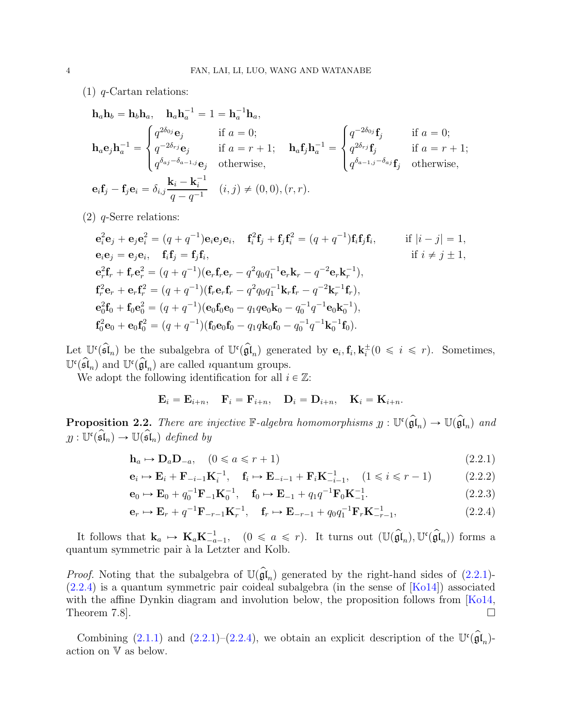(1) q-Cartan relations:

$$
\mathbf{h}_a \mathbf{h}_b = \mathbf{h}_b \mathbf{h}_a, \quad \mathbf{h}_a \mathbf{h}_a^{-1} = 1 = \mathbf{h}_a^{-1} \mathbf{h}_a,
$$
\n
$$
\mathbf{h}_a \mathbf{e}_j \mathbf{h}_a^{-1} = \begin{cases} q^{2\delta_{0j}} \mathbf{e}_j & \text{if } a = 0; \\ q^{-2\delta_{rj}} \mathbf{e}_j & \text{if } a = r + 1; \\ q^{\delta_{aj} - \delta_{a-1,j}} \mathbf{e}_j & \text{otherwise,} \end{cases} \quad \mathbf{h}_a \mathbf{f}_j \mathbf{h}_a^{-1} = \begin{cases} q^{-2\delta_{0j}} \mathbf{f}_j & \text{if } a = 0; \\ q^{2\delta_{rj}} \mathbf{f}_j & \text{if } a = r + 1; \\ q^{\delta_{aj} - \delta_{a-1,j}} \mathbf{e}_j & \text{otherwise,} \end{cases}
$$
\n
$$
\mathbf{e}_i \mathbf{f}_j - \mathbf{f}_j \mathbf{e}_i = \delta_{i,j} \frac{\mathbf{k}_i - \mathbf{k}_i^{-1}}{q - q^{-1}} \quad (i, j) \neq (0, 0), (r, r).
$$

(2) q-Serre relations:

$$
\begin{aligned}\n\mathbf{e}_{i}^{2}\mathbf{e}_{j} + \mathbf{e}_{j}\mathbf{e}_{i}^{2} &= (q + q^{-1})\mathbf{e}_{i}\mathbf{e}_{j}\mathbf{e}_{i}, \quad \mathbf{f}_{i}^{2}\mathbf{f}_{j} + \mathbf{f}_{j}\mathbf{f}_{i}^{2} = (q + q^{-1})\mathbf{f}_{i}\mathbf{f}_{j}\mathbf{f}_{i}, \quad \text{if } |i - j| = 1, \\
\mathbf{e}_{i}\mathbf{e}_{j} &= \mathbf{e}_{j}\mathbf{e}_{i}, \quad \mathbf{f}_{i}\mathbf{f}_{j} = \mathbf{f}_{j}\mathbf{f}_{i}, \quad \text{if } i \neq j \pm 1, \\
\mathbf{e}_{r}^{2}\mathbf{f}_{r} + \mathbf{f}_{r}\mathbf{e}_{r}^{2} &= (q + q^{-1})(\mathbf{e}_{r}\mathbf{f}_{r}\mathbf{e}_{r} - q^{2}q_{0}q_{1}^{-1}\mathbf{e}_{r}\mathbf{k}_{r} - q^{-2}\mathbf{e}_{r}\mathbf{k}_{r}^{-1}), \\
\mathbf{f}_{r}^{2}\mathbf{e}_{r} + \mathbf{e}_{r}\mathbf{f}_{r}^{2} &= (q + q^{-1})(\mathbf{f}_{r}\mathbf{e}_{r}\mathbf{f}_{r} - q^{2}q_{0}q_{1}^{-1}\mathbf{k}_{r}\mathbf{f}_{r} - q^{-2}\mathbf{k}_{r}^{-1}\mathbf{f}_{r}), \\
\mathbf{e}_{0}^{2}\mathbf{f}_{0} + \mathbf{f}_{0}\mathbf{e}_{0}^{2} &= (q + q^{-1})(\mathbf{e}_{0}\mathbf{f}_{0}\mathbf{e}_{0} - q_{1}q\mathbf{e}_{0}\mathbf{k}_{0} - q_{0}^{-1}q^{-1}\mathbf{e}_{0}\mathbf{k}_{0}^{-1}), \\
\mathbf{f}_{0}^{2}\mathbf{e}_{0} + \mathbf{e}_{0}\mathbf{f}_{0}^{2} &= (q + q^{-1})(\mathbf{f}_{0}\mathbf{e}_{0}\mathbf{f}_{0} - q_{1}q\mathbf{k}_{0}\mathbf{f}_{0} - q_{0}^{-1}q^{-1}\mathbf{k}_{0}^{-1}\mathbf{f}_{0}).\n\end{aligned}
$$

Let  $\mathbb{U}^{\mathfrak{c}}(\widehat{\mathfrak{sl}}_n)$  be the subalgebra of  $\mathbb{U}^{\mathfrak{c}}(\widehat{\mathfrak{gl}}_n)$  generated by  $\mathbf{e}_i, \mathbf{f}_i, \mathbf{k}_i^{\pm}$   $(0 \leq i \leq r)$ . Sometimes,  $\mathbb{U}^{\mathfrak{c}}(\mathfrak{sl}_n)$  and  $\mathbb{U}^{\mathfrak{c}}(\mathfrak{gl}_n)$  are called *i*quantum groups.

We adopt the following identification for all  $i \in \mathbb{Z}$ :

<span id="page-3-1"></span><span id="page-3-0"></span>
$$
\mathbf{E}_i = \mathbf{E}_{i+n}, \quad \mathbf{F}_i = \mathbf{F}_{i+n}, \quad \mathbf{D}_i = \mathbf{D}_{i+n}, \quad \mathbf{K}_i = \mathbf{K}_{i+n}.
$$

<span id="page-3-2"></span>**Proposition 2.2.** There are injective  $\mathbb{F}\text{-}algebra \ homomorphisms \ y : \mathbb{U}^{\mathfrak{c}}(\mathfrak{gl}_n) \to \mathbb{U}(\mathfrak{gl}_n)$  and  $y: \mathbb{U}^{\mathfrak{c}}(\mathfrak{sl}_n) \to \mathbb{U}(\mathfrak{sl}_n)$  defined by

$$
\mathbf{h}_a \mapsto \mathbf{D}_a \mathbf{D}_{-a}, \quad (0 \le a \le r+1) \tag{2.2.1}
$$

$$
\mathbf{e}_{i} \mapsto \mathbf{E}_{i} + \mathbf{F}_{-i-1} \mathbf{K}_{i}^{-1}, \quad \mathbf{f}_{i} \mapsto \mathbf{E}_{-i-1} + \mathbf{F}_{i} \mathbf{K}_{-i-1}^{-1}, \quad (1 \leq i \leq r-1)
$$
 (2.2.2)

$$
\mathbf{e}_0 \mapsto \mathbf{E}_0 + q_0^{-1} \mathbf{F}_{-1} \mathbf{K}_0^{-1}, \quad \mathbf{f}_0 \mapsto \mathbf{E}_{-1} + q_1 q^{-1} \mathbf{F}_0 \mathbf{K}_{-1}^{-1}.
$$
 (2.2.3)

$$
\mathbf{e}_r \mapsto \mathbf{E}_r + q^{-1} \mathbf{F}_{-r-1} \mathbf{K}_r^{-1}, \quad \mathbf{f}_r \mapsto \mathbf{E}_{-r-1} + q_0 q_1^{-1} \mathbf{F}_r \mathbf{K}_{-r-1}^{-1}, \tag{2.2.4}
$$

It follows that  $\mathbf{k}_a \mapsto \mathbf{K}_a \mathbf{K}_{-a-1}^{-1}$ ,  $(0 \leq a \leq r)$ . It turns out  $(\mathbb{U}(\widehat{\mathfrak{gl}}_n), \mathbb{U}^{\mathfrak{c}}(\widehat{\mathfrak{gl}}_n))$  forms a quantum symmetric pair `a la Letzter and Kolb.

*Proof.* Noting that the subalgebra of  $\mathbb{U}(\mathfrak{gl}_n)$  generated by the right-hand sides of  $(2.2.1)$ - $(2.2.4)$  is a quantum symmetric pair coideal subalgebra (in the sense of  $[Ko14]$ ) associated with the affine Dynkin diagram and involution below, the proposition follows from [\[Ko14,](#page-23-8) Theorem 7.8.  $\Box$ 

Combining  $(2.1.1)$  and  $(2.2.1)-(2.2.4)$  $(2.2.1)-(2.2.4)$ , we obtain an explicit description of the  $\mathbb{U}^{\mathfrak{c}}(\mathfrak{gl}_n)$ action on V as below.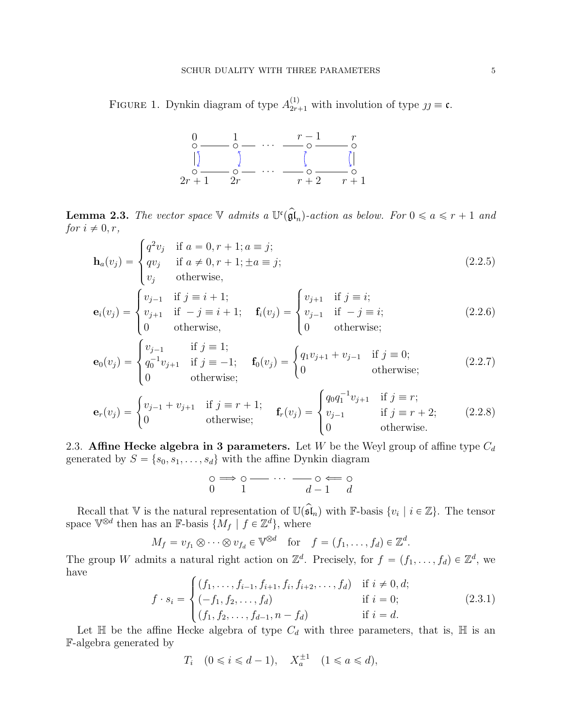FIGURE 1. Dynkin diagram of type  $A_{2r+1}^{(1)}$  with involution of type  $jj \equiv \mathfrak{c}$ .



<span id="page-4-1"></span>**Lemma 2.3.** The vector space  $\mathbb{V}$  admits a  $\mathbb{U}^{\mathfrak{c}}(\mathfrak{\hat{gl}}_n)$ -action as below. For  $0 \leq a \leq r+1$  and for  $i \neq 0, r$ ,

$$
\mathbf{h}_{a}(v_{j}) = \begin{cases} q^{2}v_{j} & \text{if } a = 0, r + 1; a \equiv j; \\ qv_{j} & \text{if } a \neq 0, r + 1; \pm a \equiv j; \\ v_{j} & \text{otherwise,} \end{cases}
$$
(2.2.5)

$$
\mathbf{e}_{i}(v_{j}) = \begin{cases} v_{j-1} & \text{if } j \equiv i+1; \\ v_{j+1} & \text{if } -j \equiv i+1; \\ 0 & \text{otherwise,} \end{cases} \quad \mathbf{f}_{i}(v_{j}) = \begin{cases} v_{j+1} & \text{if } j \equiv i; \\ v_{j-1} & \text{if } -j \equiv i; \\ 0 & \text{otherwise;} \end{cases}
$$
 (2.2.6)

$$
\mathbf{e}_{0}(v_{j}) = \begin{cases} v_{j-1} & \text{if } j = 1; \\ q_{0}^{-1}v_{j+1} & \text{if } j = -1; \\ 0 & \text{otherwise}; \end{cases} \quad \mathbf{f}_{0}(v_{j}) = \begin{cases} q_{1}v_{j+1} + v_{j-1} & \text{if } j = 0; \\ 0 & \text{otherwise}; \end{cases}
$$
 (2.2.7)

$$
\mathbf{e}_r(v_j) = \begin{cases} v_{j-1} + v_{j+1} & \text{if } j \equiv r+1; \\ 0 & \text{otherwise}; \end{cases} \quad \mathbf{f}_r(v_j) = \begin{cases} q_0 q_1^{-1} v_{j+1} & \text{if } j \equiv r; \\ v_{j-1} & \text{if } j \equiv r+2; \\ 0 & \text{otherwise}. \end{cases} \tag{2.2.8}
$$

2.3. Affine Hecke algebra in 3 parameters. Let W be the Weyl group of affine type  $C_d$ generated by  $S = \{s_0, s_1, \ldots, s_d\}$  with the affine Dynkin diagram

$$
\circ \Rightarrow \circ \cdots \cdots \cdots \circ \Leftarrow \circ
$$
  
0 1 d - 1 d

Recall that  $\nabla$  is the natural representation of  $\mathbb{U}(\mathfrak{sl}_n)$  with  $\mathbb{F}$ -basis  $\{v_i \mid i \in \mathbb{Z}\}$ . The tensor space  $\mathbb{V}^{\otimes d}$  then has an F-basis  $\{M_f \mid f \in \mathbb{Z}^d\}$ , where

$$
M_f = v_{f_1} \otimes \cdots \otimes v_{f_d} \in \mathbb{V}^{\otimes d}
$$
 for  $f = (f_1, \ldots, f_d) \in \mathbb{Z}^d$ 

The group W admits a natural right action on  $\mathbb{Z}^d$ . Precisely, for  $f = (f_1, \ldots, f_d) \in \mathbb{Z}^d$ , we have

<span id="page-4-0"></span>
$$
f \cdot s_i = \begin{cases} (f_1, \dots, f_{i-1}, f_{i+1}, f_i, f_{i+2}, \dots, f_d) & \text{if } i \neq 0, d; \\ (-f_1, f_2, \dots, f_d) & \text{if } i = 0; \\ (f_1, f_2, \dots, f_{d-1}, n - f_d) & \text{if } i = d. \end{cases}
$$
 (2.3.1)

.

Let  $\mathbb H$  be the affine Hecke algebra of type  $C_d$  with three parameters, that is,  $\mathbb H$  is an F-algebra generated by

 $T_i \quad (0 \leq i \leq d-1), \quad X_a^{\pm 1} \quad (1 \leq a \leq d),$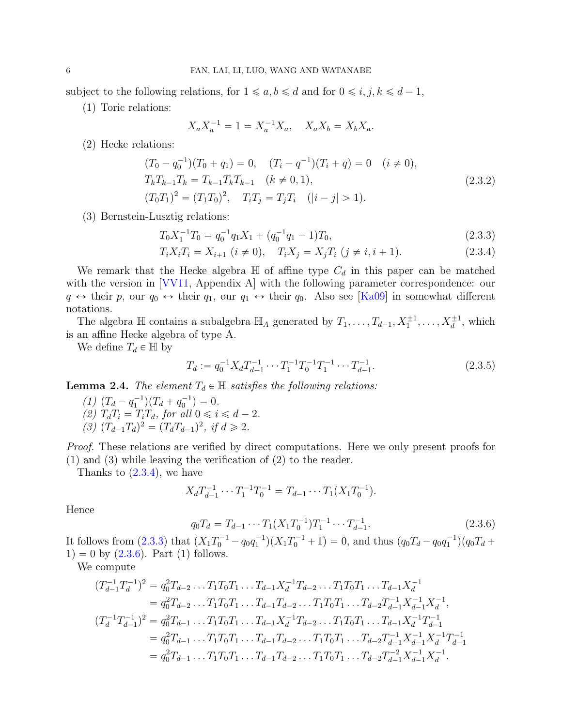subject to the following relations, for  $1 \leq a, b \leq d$  and for  $0 \leq i, j, k \leq d - 1$ ,

(1) Toric relations:

<span id="page-5-4"></span><span id="page-5-1"></span>
$$
X_a X_a^{-1} = 1 = X_a^{-1} X_a, \quad X_a X_b = X_b X_a.
$$

(2) Hecke relations:

$$
(T_0 - q_0^{-1})(T_0 + q_1) = 0, \quad (T_i - q^{-1})(T_i + q) = 0 \quad (i \neq 0),
$$
  
\n
$$
T_k T_{k-1} T_k = T_{k-1} T_k T_{k-1} \quad (k \neq 0, 1),
$$
  
\n
$$
(T_0 T_1)^2 = (T_1 T_0)^2, \quad T_i T_j = T_j T_i \quad (|i - j| > 1).
$$
\n(2.3.2)

(3) Bernstein-Lusztig relations:

$$
T_0 X_1^{-1} T_0 = q_0^{-1} q_1 X_1 + (q_0^{-1} q_1 - 1) T_0,
$$
\n(2.3.3)

$$
T_i X_i T_i = X_{i+1} \ (i \neq 0), \quad T_i X_j = X_j T_i \ (j \neq i, i+1). \tag{2.3.4}
$$

We remark that the Hecke algebra  $\mathbb H$  of affine type  $C_d$  in this paper can be matched with the version in [\[VV11,](#page-23-11) Appendix A] with the following parameter correspondence: our  $q \leftrightarrow$  their p, our  $q_0 \leftrightarrow$  their  $q_1$ , our  $q_1 \leftrightarrow$  their  $q_0$ . Also see [\[Ka09\]](#page-23-10) in somewhat different notations.

The algebra  $\mathbb H$  contains a subalgebra  $\mathbb H_A$  generated by  $T_1, \ldots, T_{d-1}, X_1^{\pm 1}, \ldots, X_d^{\pm 1}$ , which is an affine Hecke algebra of type A.

We define  $T_d \in \mathbb{H}$  by

<span id="page-5-3"></span><span id="page-5-0"></span>
$$
T_d := q_0^{-1} X_d T_{d-1}^{-1} \cdots T_1^{-1} T_0^{-1} T_1^{-1} \cdots T_{d-1}^{-1}.
$$
\n(2.3.5)

<span id="page-5-5"></span>**Lemma 2.4.** The element  $T_d \in \mathbb{H}$  satisfies the following relations:

(1)  $(T_d - q_1^{-1})(T_d + q_0^{-1}) = 0.$ (2)  $T_dT_i = T_iT_d$ , for all  $0 \le i \le d - 2$ .  $(3)$   $(T_{d-1}T_d)^2 = (T_dT_{d-1})^2$ , if  $d \ge 2$ .

Proof. These relations are verified by direct computations. Here we only present proofs for (1) and (3) while leaving the verification of (2) to the reader.

Thanks to  $(2.3.4)$ , we have

$$
X_d T_{d-1}^{-1} \cdots T_1^{-1} T_0^{-1} = T_{d-1} \cdots T_1 (X_1 T_0^{-1}).
$$

Hence

<span id="page-5-2"></span>
$$
q_0 T_d = T_{d-1} \cdots T_1 (X_1 T_0^{-1}) T_1^{-1} \cdots T_{d-1}^{-1}.
$$
\n(2.3.6)

It follows from  $(2.3.3)$  that  $(X_1T_0^{-1} - q_0q_1^{-1})(X_1T_0^{-1} + 1) = 0$ , and thus  $(q_0T_d - q_0q_1^{-1})(q_0T_d +$  $1) = 0$  by  $(2.3.6)$ . Part  $(1)$  follows.

We compute

$$
(T_{d-1}^{-1}T_d^{-1})^2 = q_0^2 T_{d-2} \dots T_1 T_0 T_1 \dots T_{d-1} X_d^{-1} T_{d-2} \dots T_1 T_0 T_1 \dots T_{d-1} X_d^{-1}
$$
  
\n
$$
= q_0^2 T_{d-2} \dots T_1 T_0 T_1 \dots T_{d-1} T_{d-2} \dots T_1 T_0 T_1 \dots T_{d-2} T_{d-1}^{-1} X_{d-1}^{-1} X_d^{-1},
$$
  
\n
$$
(T_d^{-1}T_{d-1}^{-1})^2 = q_0^2 T_{d-1} \dots T_1 T_0 T_1 \dots T_{d-1} X_d^{-1} T_{d-2} \dots T_1 T_0 T_1 \dots T_{d-1} X_d^{-1} T_{d-1}^{-1}
$$
  
\n
$$
= q_0^2 T_{d-1} \dots T_1 T_0 T_1 \dots T_{d-1} T_{d-2} \dots T_1 T_0 T_1 \dots T_{d-2} T_{d-1}^{-1} X_{d-1}^{-1} X_d^{-1} T_{d-1}^{-1}
$$
  
\n
$$
= q_0^2 T_{d-1} \dots T_1 T_0 T_1 \dots T_{d-1} T_{d-2} \dots T_1 T_0 T_1 \dots T_{d-2} T_{d-1}^{-2} X_{d-1}^{-1} X_d^{-1}.
$$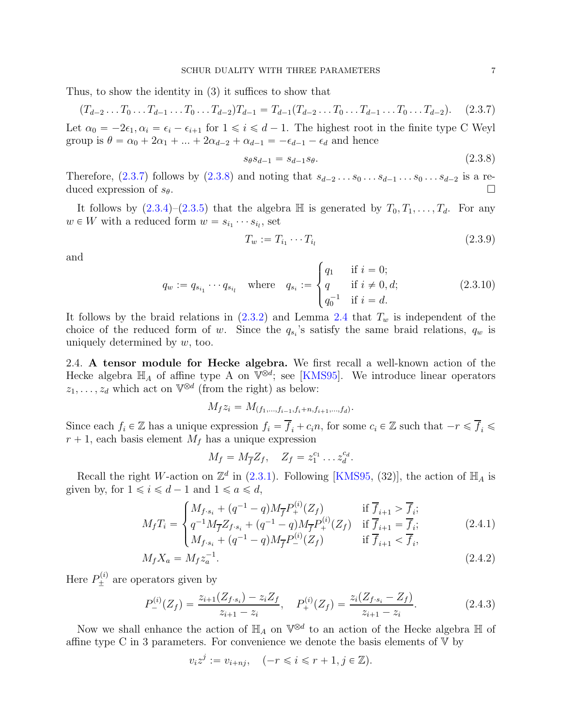Thus, to show the identity in (3) it suffices to show that

<span id="page-6-0"></span>
$$
(T_{d-2}\dots T_0\dots T_{d-1}\dots T_0\dots T_{d-2})T_{d-1} = T_{d-1}(T_{d-2}\dots T_0\dots T_{d-1}\dots T_0\dots T_{d-2}).
$$
 (2.3.7)

Let  $\alpha_0 = -2\epsilon_1, \alpha_i = \epsilon_i - \epsilon_{i+1}$  for  $1 \leq i \leq d-1$ . The highest root in the finite type C Weyl group is  $\theta = \alpha_0 + 2\alpha_1 + ... + 2\alpha_{d-2} + \alpha_{d-1} = -\epsilon_{d-1} - \epsilon_d$  and hence

<span id="page-6-1"></span>
$$
s_{\theta} s_{d-1} = s_{d-1} s_{\theta}.
$$
\n(2.3.8)

Therefore,  $(2.3.7)$  follows by  $(2.3.8)$  and noting that  $s_{d-2} \ldots s_0 \ldots s_{d-1} \ldots s_0 \ldots s_{d-2}$  is a reduced expression of  $s_{\theta}$ .

It follows by  $(2.3.4)-(2.3.5)$  $(2.3.4)-(2.3.5)$  that the algebra  $\mathbb H$  is generated by  $T_0, T_1, \ldots, T_d$ . For any  $w \in W$  with a reduced form  $w = s_{i_1} \cdots s_{i_l}$ , set

<span id="page-6-4"></span>
$$
T_w := T_{i_1} \cdots T_{i_l} \tag{2.3.9}
$$

and

<span id="page-6-5"></span>
$$
q_w := q_{s_{i_1}} \cdots q_{s_{i_l}} \quad \text{where} \quad q_{s_i} := \begin{cases} q_1 & \text{if } i = 0; \\ q & \text{if } i \neq 0, d; \\ q_0^{-1} & \text{if } i = d. \end{cases} \tag{2.3.10}
$$

It follows by the braid relations in  $(2.3.2)$  and Lemma [2.4](#page-5-5) that  $T_w$  is independent of the choice of the reduced form of w. Since the  $q_{s_i}$ 's satisfy the same braid relations,  $q_w$  is uniquely determined by  $w$ , too.

2.4. A tensor module for Hecke algebra. We first recall a well-known action of the Hecke algebra  $\mathbb{H}_A$  of affine type A on  $\mathbb{V}^{\otimes d}$ ; see [\[KMS95\]](#page-23-16). We introduce linear operators  $z_1, \ldots, z_d$  which act on  $\mathbb{V}^{\otimes d}$  (from the right) as below:

$$
M_f z_i = M_{(f_1,\ldots,f_{i-1},f_i+n,f_{i+1},\ldots,f_d)}.
$$

Since each  $f_i \in \mathbb{Z}$  has a unique expression  $f_i = \overline{f}_i + c_i n$ , for some  $c_i \in \mathbb{Z}$  such that  $-r \leq \overline{f}_i \leq$  $r + 1$ , each basis element  $M_f$  has a unique expression

<span id="page-6-3"></span><span id="page-6-2"></span>
$$
M_f = M_{\overline{f}} Z_f, \quad Z_f = z_1^{c_1} \dots z_d^{c_d}.
$$

Recall the right W-action on  $\mathbb{Z}^d$  in [\(2.3.1\)](#page-4-0). Following [\[KMS95,](#page-23-16) (32)], the action of  $\mathbb{H}_A$  is given by, for  $1 \leq i \leq d - 1$  and  $1 \leq a \leq d$ ,

$$
M_f T_i = \begin{cases} M_{f \cdot s_i} + (q^{-1} - q) M_{\overline{f}} P_+^{(i)}(Z_f) & \text{if } \overline{f}_{i+1} > \overline{f}_i; \\ q^{-1} M_{\overline{f}} Z_{f \cdot s_i} + (q^{-1} - q) M_{\overline{f}} P_+^{(i)}(Z_f) & \text{if } \overline{f}_{i+1} = \overline{f}_i; \end{cases}
$$
(2.4.1)

$$
\left\{ M_{f \cdot s_i} + (q^{-1} - q) M_{\overline{f}} P_{-}^{(i)}(Z_f) \right\} \qquad \text{if } \overline{f}_{i+1} < \overline{f}_i, \\
M_f X_a = M_f z_a^{-1}.\n\tag{2.4.2}
$$

Here  $P_{\pm}^{(i)}$  are operators given by

$$
P_{-}^{(i)}(Z_f) = \frac{z_{i+1}(Z_{f \cdot s_i}) - z_i Z_f}{z_{i+1} - z_i}, \quad P_{+}^{(i)}(Z_f) = \frac{z_i(Z_{f \cdot s_i} - Z_f)}{z_{i+1} - z_i}.
$$
 (2.4.3)

Now we shall enhance the action of  $\mathbb{H}_A$  on  $\mathbb{V}^{\otimes d}$  to an action of the Hecke algebra  $\mathbb H$  of affine type C in 3 parameters. For convenience we denote the basis elements of  $V$  by

$$
v_i z^j := v_{i+nj}, \quad (-r \leq i \leq r+1, j \in \mathbb{Z}).
$$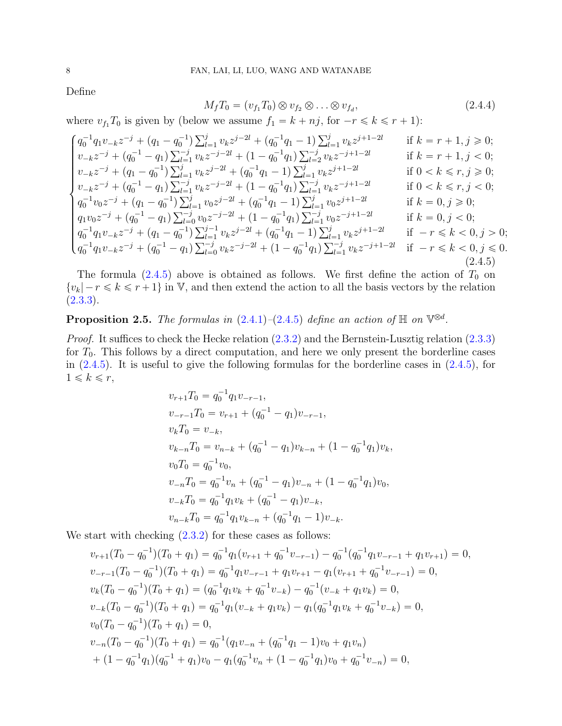Define

$$
M_f T_0 = (v_{f_1} T_0) \otimes v_{f_2} \otimes \ldots \otimes v_{f_d}, \qquad (2.4.4)
$$

where  $v_{f_1} T_0$  is given by (below we assume  $f_1 = k + n j$ , for  $-r \leq k \leq r + 1$ ):

<span id="page-7-0"></span>
$$
\begin{cases} q_{0}^{-1}q_{1}v_{-k}z^{-j} + (q_{1} - q_{0}^{-1})\sum_{l=1}^{j} v_{k}z^{j-2l} + (q_{0}^{-1}q_{1} - 1)\sum_{l=1}^{j} v_{k}z^{j+1-2l} & \text{if } k = r + 1, j \geq 0; \\ v_{-k}z^{-j} + (q_{0}^{-1} - q_{1})\sum_{l=1}^{j} v_{k}z^{-j-2l} + (1 - q_{0}^{-1}q_{1})\sum_{l=2}^{j} v_{k}z^{-j+1-2l} & \text{if } k = r + 1, j < 0; \\ v_{-k}z^{-j} + (q_{1} - q_{0}^{-1})\sum_{l=1}^{j} v_{k}z^{j-2l} + (q_{0}^{-1}q_{1} - 1)\sum_{l=1}^{j} v_{k}z^{j+1-2l} & \text{if } 0 < k \leq r, j \geq 0; \\ v_{-k}z^{-j} + (q_{0}^{-1} - q_{1})\sum_{l=1}^{j} v_{k}z^{-j-2l} + (1 - q_{0}^{-1}q_{1})\sum_{l=1}^{j} v_{k}z^{-j+1-2l} & \text{if } 0 < k \leq r, j < 0; \\ q_{0}^{-1}v_{0}z^{-j} + (q_{1} - q_{0}^{-1})\sum_{l=1}^{j} v_{0}z^{j-2l} + (q_{0}^{-1}q_{1} - 1)\sum_{l=1}^{j} v_{0}z^{j+1-2l} & \text{if } k = 0, j \geq 0; \\ q_{1}v_{0}z^{-j} + (q_{0}^{-1} - q_{1})\sum_{l=0}^{j} v_{0}z^{-j-2l} + (1 - q_{0}^{-1}q_{1})\sum_{l=1}^{j} v_{0}z^{-j+1-2l} & \text{if } k = 0, j < 0; \\ q_{0}^{-1}q_{1}v_{-k}z^{-j} + (q_{1} - q_{0}^{-1})\sum_{l=1}^{j} v_{k}z^{j-2l} + (q_{0}^{-1}q_{1} - 1)\sum_{l=1}^{j} v_{k}z^{j+1-2l} & \text{if } -r \leq k < 0, j > 0; \\ q_{0}
$$

The formula  $(2.4.5)$  above is obtained as follows. We first define the action of  $T_0$  on  $\{v_k | -r \leq k \leq r +1\}$  in V, and then extend the action to all the basis vectors by the relation  $(2.3.3).$  $(2.3.3).$ 

**Proposition 2.5.** The formulas in  $(2.4.1)-(2.4.5)$  $(2.4.1)-(2.4.5)$  $(2.4.1)-(2.4.5)$  define an action of  $\mathbb{H}$  on  $\mathbb{V}^{\otimes d}$ .

Proof. It suffices to check the Hecke relation  $(2.3.2)$  and the Bernstein-Lusztig relation  $(2.3.3)$ for  $T_0$ . This follows by a direct computation, and here we only present the borderline cases in [\(2.4.5\)](#page-7-0). It is useful to give the following formulas for the borderline cases in [\(2.4.5\)](#page-7-0), for  $1 \leqslant k \leqslant r$ ,

$$
v_{r+1}T_0 = q_0^{-1}q_1v_{-r-1},
$$
  
\n
$$
v_{-r-1}T_0 = v_{r+1} + (q_0^{-1} - q_1)v_{-r-1},
$$
  
\n
$$
v_kT_0 = v_{-k},
$$
  
\n
$$
v_{k-n}T_0 = v_{n-k} + (q_0^{-1} - q_1)v_{k-n} + (1 - q_0^{-1}q_1)v_k,
$$
  
\n
$$
v_0T_0 = q_0^{-1}v_0,
$$
  
\n
$$
v_{-n}T_0 = q_0^{-1}v_n + (q_0^{-1} - q_1)v_{-n} + (1 - q_0^{-1}q_1)v_0,
$$
  
\n
$$
v_{-k}T_0 = q_0^{-1}q_1v_k + (q_0^{-1} - q_1)v_{-k},
$$
  
\n
$$
v_{n-k}T_0 = q_0^{-1}q_1v_{k-n} + (q_0^{-1}q_1 - 1)v_{-k}.
$$

We start with checking  $(2.3.2)$  for these cases as follows:

$$
v_{r+1}(T_0 - q_0^{-1})(T_0 + q_1) = q_0^{-1}q_1(v_{r+1} + q_0^{-1}v_{-r-1}) - q_0^{-1}(q_0^{-1}q_1v_{-r-1} + q_1v_{r+1}) = 0,
$$
  
\n
$$
v_{-r-1}(T_0 - q_0^{-1})(T_0 + q_1) = q_0^{-1}q_1v_{-r-1} + q_1v_{r+1} - q_1(v_{r+1} + q_0^{-1}v_{-r-1}) = 0,
$$
  
\n
$$
v_k(T_0 - q_0^{-1})(T_0 + q_1) = (q_0^{-1}q_1v_k + q_0^{-1}v_{-k}) - q_0^{-1}(v_{-k} + q_1v_k) = 0,
$$
  
\n
$$
v_{-k}(T_0 - q_0^{-1})(T_0 + q_1) = q_0^{-1}q_1(v_{-k} + q_1v_k) - q_1(q_0^{-1}q_1v_k + q_0^{-1}v_{-k}) = 0,
$$
  
\n
$$
v_0(T_0 - q_0^{-1})(T_0 + q_1) = 0,
$$
  
\n
$$
v_{-n}(T_0 - q_0^{-1})(T_0 + q_1) = q_0^{-1}(q_1v_{-n} + (q_0^{-1}q_1 - 1)v_0 + q_1v_n)
$$
  
\n
$$
+ (1 - q_0^{-1}q_1)(q_0^{-1} + q_1)v_0 - q_1(q_0^{-1}v_n + (1 - q_0^{-1}q_1)v_0 + q_0^{-1}v_{-n}) = 0,
$$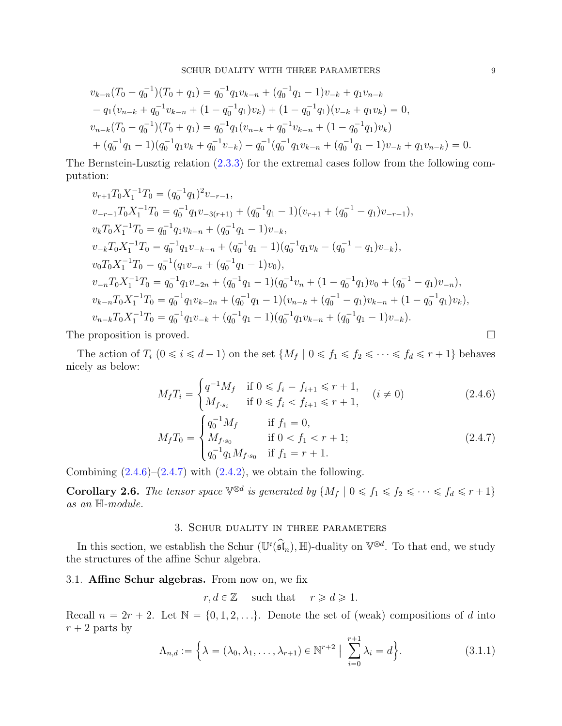$$
v_{k-n}(T_0 - q_0^{-1})(T_0 + q_1) = q_0^{-1}q_1v_{k-n} + (q_0^{-1}q_1 - 1)v_{-k} + q_1v_{n-k}
$$
  
\n
$$
- q_1(v_{n-k} + q_0^{-1}v_{k-n} + (1 - q_0^{-1}q_1)v_k) + (1 - q_0^{-1}q_1)(v_{-k} + q_1v_k) = 0,
$$
  
\n
$$
v_{n-k}(T_0 - q_0^{-1})(T_0 + q_1) = q_0^{-1}q_1(v_{n-k} + q_0^{-1}v_{k-n} + (1 - q_0^{-1}q_1)v_k)
$$
  
\n
$$
+ (q_0^{-1}q_1 - 1)(q_0^{-1}q_1v_k + q_0^{-1}v_{-k}) - q_0^{-1}(q_0^{-1}q_1v_{k-n} + (q_0^{-1}q_1 - 1)v_{-k} + q_1v_{n-k}) = 0.
$$

The Bernstein-Lusztig relation [\(2.3.3\)](#page-5-1) for the extremal cases follow from the following computation:

$$
v_{r+1}T_0X_1^{-1}T_0 = (q_0^{-1}q_1)^2v_{-r-1},
$$
  
\n
$$
v_{-r-1}T_0X_1^{-1}T_0 = q_0^{-1}q_1v_{-3(r+1)} + (q_0^{-1}q_1 - 1)(v_{r+1} + (q_0^{-1} - q_1)v_{-r-1}),
$$
  
\n
$$
v_kT_0X_1^{-1}T_0 = q_0^{-1}q_1v_{k-n} + (q_0^{-1}q_1 - 1)v_{-k},
$$
  
\n
$$
v_{-k}T_0X_1^{-1}T_0 = q_0^{-1}q_1v_{-k-n} + (q_0^{-1}q_1 - 1)(q_0^{-1}q_1v_k - (q_0^{-1} - q_1)v_{-k}),
$$
  
\n
$$
v_0T_0X_1^{-1}T_0 = q_0^{-1}(q_1v_{-n} + (q_0^{-1}q_1 - 1)v_0),
$$
  
\n
$$
v_{-n}T_0X_1^{-1}T_0 = q_0^{-1}q_1v_{-2n} + (q_0^{-1}q_1 - 1)(q_0^{-1}v_n + (1 - q_0^{-1}q_1)v_0 + (q_0^{-1} - q_1)v_{-n}),
$$
  
\n
$$
v_{k-n}T_0X_1^{-1}T_0 = q_0^{-1}q_1v_{k-2n} + (q_0^{-1}q_1 - 1)(v_{n-k} + (q_0^{-1} - q_1)v_{k-n} + (1 - q_0^{-1}q_1)v_k),
$$
  
\n
$$
v_{n-k}T_0X_1^{-1}T_0 = q_0^{-1}q_1v_{-k} + (q_0^{-1}q_1 - 1)(q_0^{-1}q_1v_{k-n} + (q_0^{-1}q_1 - 1)v_{-k}).
$$

The proposition is proved.

The action of  $T_i$   $(0 \le i \le d-1)$  on the set  $\{M_f \mid 0 \le f_1 \le f_2 \le \cdots \le f_d \le r+1\}$  behaves nicely as below:

$$
M_f T_i = \begin{cases} q^{-1} M_f & \text{if } 0 \le f_i = f_{i+1} \le r+1, \\ M_{f \cdot s_i} & \text{if } 0 \le f_i < f_{i+1} \le r+1, \end{cases} \quad (i \ne 0)
$$
\n(2.4.6)

<span id="page-8-1"></span>
$$
M_f T_0 = \begin{cases} q_0^{-1} M_f & \text{if } f_1 = 0, \\ M_{f \cdot s_0} & \text{if } 0 < f_1 < r + 1; \\ q_0^{-1} q_1 M_{f \cdot s_0} & \text{if } f_1 = r + 1. \end{cases}
$$
 (2.4.7)

Combining  $(2.4.6)-(2.4.7)$  $(2.4.6)-(2.4.7)$  with  $(2.4.2)$ , we obtain the following.

<span id="page-8-3"></span><span id="page-8-0"></span>**Corollary 2.6.** The tensor space  $\mathbb{V}^{\otimes d}$  is generated by  $\{M_f \mid 0 \leq f_1 \leq f_2 \leq \cdots \leq f_d \leq r+1\}$ as an H-module.

## <span id="page-8-2"></span>3. Schur duality in three parameters

In this section, we establish the Schur  $(\mathbb{U}^{\mathfrak{c}}(\mathfrak{sl}_n), \mathbb{H})$ -duality on  $\mathbb{V}^{\otimes d}$ . To that end, we study the structures of the affine Schur algebra.

# 3.1. Affine Schur algebras. From now on, we fix

$$
r, d \in \mathbb{Z}
$$
 such that  $r \geq d \geq 1$ .

Recall  $n = 2r + 2$ . Let  $\mathbb{N} = \{0, 1, 2, \ldots\}$ . Denote the set of (weak) compositions of d into  $r + 2$  parts by

<span id="page-8-4"></span>
$$
\Lambda_{n,d} := \left\{ \lambda = (\lambda_0, \lambda_1, \dots, \lambda_{r+1}) \in \mathbb{N}^{r+2} \mid \sum_{i=0}^{r+1} \lambda_i = d \right\}.
$$
 (3.1.1)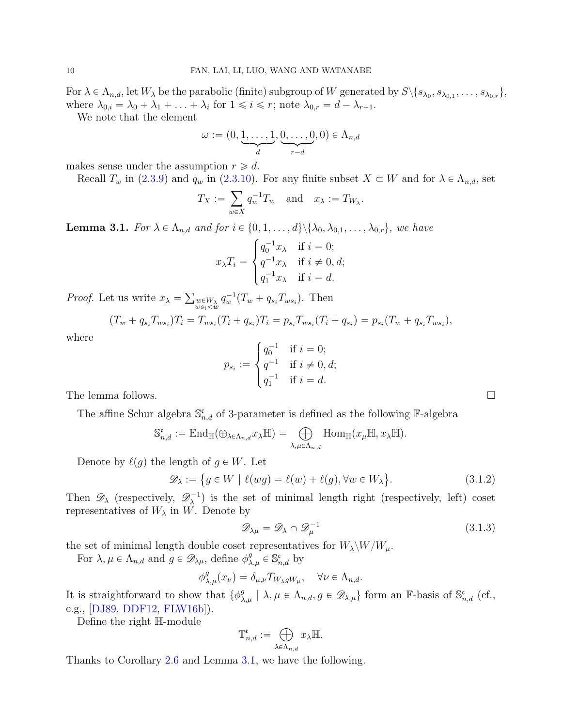For  $\lambda \in \Lambda_{n,d}$ , let  $W_{\lambda}$  be the parabolic (finite) subgroup of W generated by  $S \setminus \{s_{\lambda_0}, s_{\lambda_{0,1}}, \ldots, s_{\lambda_{0,r}}\},$ where  $\lambda_{0,i} = \lambda_0 + \lambda_1 + \ldots + \lambda_i$  for  $1 \leq i \leq r$ ; note  $\lambda_{0,r} = d - \lambda_{r+1}$ .

We note that the element

$$
\omega := \big(0, \underbrace{1, \dots, 1}_{d}, \underbrace{0, \dots, 0}_{r-d}, 0\big) \in \Lambda_{n,d}
$$

makes sense under the assumption  $r \geq d$ .

Recall  $T_w$  in [\(2.3.9\)](#page-6-4) and  $q_w$  in [\(2.3.10\)](#page-6-5). For any finite subset  $X \subset W$  and for  $\lambda \in \Lambda_{n,d}$ , set

$$
T_X:=\sum_{w\in X}q_w^{-1}T_w\quad\text{and}\quad x_\lambda:=T_{W_\lambda}.
$$

<span id="page-9-0"></span>**Lemma 3.1.** For  $\lambda \in \Lambda_{n,d}$  and for  $i \in \{0, 1, \ldots, d\} \setminus \{\lambda_0, \lambda_{0,1}, \ldots, \lambda_{0,r}\}\$ , we have

$$
x_{\lambda}T_i = \begin{cases} q_0^{-1}x_{\lambda} & \text{if } i = 0; \\ q^{-1}x_{\lambda} & \text{if } i \neq 0, d; \\ q_1^{-1}x_{\lambda} & \text{if } i = d. \end{cases}
$$

*Proof.* Let us write  $x_{\lambda} = \sum_{w s_i < w} q_w^{-1}(T_w + q_{s_i} T_{ws_i})$ . Then

$$
(T_w + q_{s_i}T_{ws_i})T_i = T_{ws_i}(T_i + q_{s_i})T_i = p_{s_i}T_{ws_i}(T_i + q_{s_i}) = p_{s_i}(T_w + q_{s_i}T_{ws_i}),
$$

where

$$
p_{s_i} := \begin{cases} q_0^{-1} & \text{if } i = 0; \\ q^{-1} & \text{if } i \neq 0, d; \\ q_1^{-1} & \text{if } i = d. \end{cases}
$$

The lemma follows.  $\Box$ 

The affine Schur algebra  $\mathbb{S}_{n,d}^{\mathfrak{c}}$  of 3-parameter is defined as the following F-algebra

$$
\mathbb{S}_{n,d}^{\mathfrak{c}}:=\mathrm{End}_{\mathbb{H}}(\oplus_{\lambda\in\Lambda_{n,d}}x_{\lambda}\mathbb{H})=\bigoplus_{\lambda,\mu\in\Lambda_{n,d}}\mathrm{Hom}_{\mathbb{H}}(x_{\mu}\mathbb{H},x_{\lambda}\mathbb{H}).
$$

Denote by  $\ell(q)$  the length of  $q \in W$ . Let

$$
\mathscr{D}_{\lambda} := \{ g \in W \mid \ell(wg) = \ell(w) + \ell(g), \forall w \in W_{\lambda} \}.
$$
\n(3.1.2)

Then  $\mathscr{D}_{\lambda}$  (respectively,  $\mathscr{D}_{\lambda}^{-1}$  $\nabla_{\lambda}^{-1}$ ) is the set of minimal length right (respectively, left) coset representatives of  $W_{\lambda}$  in W. Denote by

$$
\mathcal{D}_{\lambda\mu} = \mathcal{D}_{\lambda} \cap \mathcal{D}_{\mu}^{-1} \tag{3.1.3}
$$

the set of minimal length double coset representatives for  $W_{\lambda} \backslash W/W_{\mu}$ .

For  $\lambda, \mu \in \Lambda_{n,d}$  and  $g \in \mathscr{D}_{\lambda\mu}$ , define  $\phi_{\lambda,\mu}^g \in \mathbb{S}_{n,d}^{\mathfrak{c}}$  by

$$
\phi_{\lambda,\mu}^g(x_\nu) = \delta_{\mu,\nu} T_{W_\lambda g W_\mu}, \quad \forall \nu \in \Lambda_{n,d}.
$$

It is straightforward to show that  $\{\phi_{\lambda,\mu}^g \mid \lambda, \mu \in \Lambda_{n,d}, g \in \mathscr{D}_{\lambda,\mu}\}\)$  form an F-basis of  $\mathbb{S}^{\mathfrak{c}}_{n,d}$  (cf., e.g., [\[DJ89,](#page-23-17) [DDF12,](#page-23-18) [FLW16b\]](#page-23-13)).

Define the right H-module

$$
\mathbb{T}^{\mathfrak{c}}_{n,d}:=\bigoplus_{\lambda\in\Lambda_{n,d}}x_{\lambda}\mathbb{H}.
$$

Thanks to Corollary [2.6](#page-8-3) and Lemma [3.1,](#page-9-0) we have the following.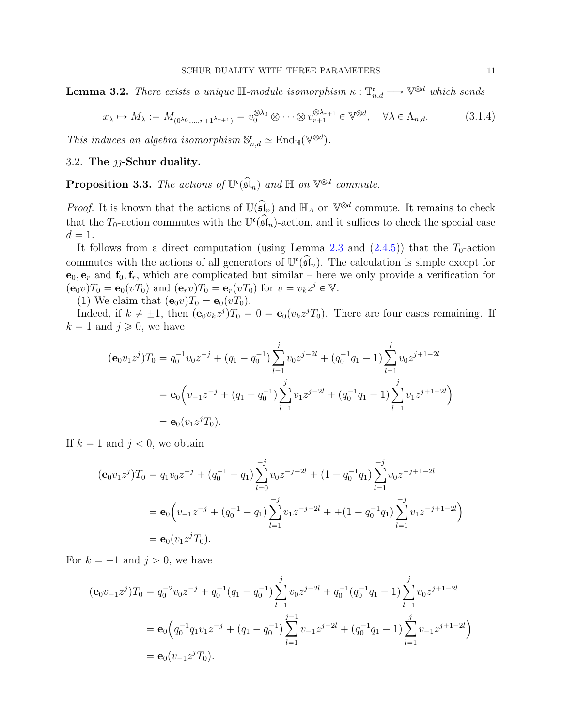<span id="page-10-1"></span>**Lemma 3.2.** There exists a unique  $\mathbb{H}$ -module isomorphism  $\kappa : \mathbb{T}^{\mathfrak{c}}_{n,d} \longrightarrow \mathbb{V}^{\otimes d}$  which sends

$$
x_{\lambda} \mapsto M_{\lambda} := M_{(0^{\lambda_0}, \dots, r+1^{\lambda_{r+1}})} = v_0^{\otimes \lambda_0} \otimes \dots \otimes v_{r+1}^{\otimes \lambda_{r+1}} \in \mathbb{V}^{\otimes d}, \quad \forall \lambda \in \Lambda_{n,d}.
$$
 (3.1.4)

This induces an algebra isomorphism  $\mathbb{S}^{\mathfrak{c}}_{n,d} \simeq \text{End}_{\mathbb{H}}(\mathbb{V}^{\otimes d})$ .

3.2. The  $\eta$ -Schur duality.

<span id="page-10-0"></span>**Proposition 3.3.** The actions of  $\mathbb{U}^{\mathfrak{c}}(\widehat{\mathfrak{sl}}_n)$  and  $\mathbb{H}$  on  $\mathbb{V}^{\otimes d}$  commute.

*Proof.* It is known that the actions of  $\mathbb{U}(\mathfrak{sl}_n)$  and  $\mathbb{H}_A$  on  $\mathbb{V}^{\otimes d}$  commute. It remains to check that the  $T_0$ -action commutes with the  $\mathbb{U}^{\mathfrak{c}}(\mathfrak{sl}_n)$ -action, and it suffices to check the special case  $d = 1.$ 

It follows from a direct computation (using Lemma [2.3](#page-4-1) and  $(2.4.5)$ ) that the  $T_0$ -action commutes with the actions of all generators of  $\mathbb{U}^{\mathfrak{c}}(\mathfrak{sl}_n)$ . The calculation is simple except for  $\mathbf{e}_0, \mathbf{e}_r$  and  $\mathbf{f}_0, \mathbf{f}_r$ , which are complicated but similar – here we only provide a verification for  $(\mathbf{e}_0 v) T_0 = \mathbf{e}_0 (v T_0)$  and  $(\mathbf{e}_r v) T_0 = \mathbf{e}_r (v T_0)$  for  $v = v_k z^j \in \mathbb{V}$ .

(1) We claim that  $(\mathbf{e}_0v)T_0 = \mathbf{e}_0(vT_0)$ .

Indeed, if  $k \neq \pm 1$ , then  $(\mathbf{e}_0 v_k z^j) T_0 = 0 = \mathbf{e}_0(v_k z^j T_0)$ . There are four cases remaining. If  $k = 1$  and  $j \geqslant 0$ , we have

$$
(\mathbf{e}_0 v_1 z^j) T_0 = q_0^{-1} v_0 z^{-j} + (q_1 - q_0^{-1}) \sum_{l=1}^j v_0 z^{j-l} + (q_0^{-1} q_1 - 1) \sum_{l=1}^j v_0 z^{j+l-2l}
$$
  
=  $\mathbf{e}_0 \left( v_{-1} z^{-j} + (q_1 - q_0^{-1}) \sum_{l=1}^j v_1 z^{j-l} + (q_0^{-1} q_1 - 1) \sum_{l=1}^j v_1 z^{j+l-2l} \right)$   
=  $\mathbf{e}_0 (v_1 z^j T_0).$ 

If  $k = 1$  and  $j < 0$ , we obtain

$$
(\mathbf{e}_0 v_1 z^j) T_0 = q_1 v_0 z^{-j} + (q_0^{-1} - q_1) \sum_{l=0}^{-j} v_0 z^{-j-l} + (1 - q_0^{-1} q_1) \sum_{l=1}^{-j} v_0 z^{-j+l-2l}
$$
  
=  $\mathbf{e}_0 \Big( v_{-1} z^{-j} + (q_0^{-1} - q_1) \sum_{l=1}^{-j} v_1 z^{-j-l} + (1 - q_0^{-1} q_1) \sum_{l=1}^{-j} v_1 z^{-j+l-2l} \Big)$   
=  $\mathbf{e}_0 (v_1 z^j T_0).$ 

For  $k = -1$  and  $j > 0$ , we have

$$
(\mathbf{e}_0 v_{-1} z^j) T_0 = q_0^{-2} v_0 z^{-j} + q_0^{-1} (q_1 - q_0^{-1}) \sum_{l=1}^j v_0 z^{j-2l} + q_0^{-1} (q_0^{-1} q_1 - 1) \sum_{l=1}^j v_0 z^{j+1-2l}
$$
  
=  $\mathbf{e}_0 \Big( q_0^{-1} q_1 v_1 z^{-j} + (q_1 - q_0^{-1}) \sum_{l=1}^{j-1} v_{-1} z^{j-2l} + (q_0^{-1} q_1 - 1) \sum_{l=1}^j v_{-1} z^{j+1-2l} \Big)$   
=  $\mathbf{e}_0 (v_{-1} z^j T_0).$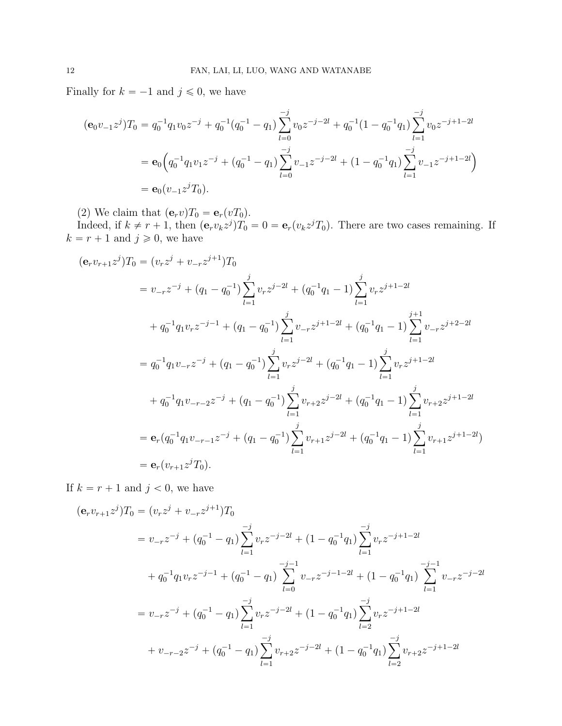Finally for  $k = -1$  and  $j \leq 0$ , we have

$$
(\mathbf{e}_0 v_{-1} z^j) T_0 = q_0^{-1} q_1 v_0 z^{-j} + q_0^{-1} (q_0^{-1} - q_1) \sum_{l=0}^{-j} v_0 z^{-j-l} + q_0^{-1} (1 - q_0^{-1} q_1) \sum_{l=1}^{-j} v_0 z^{-j+l-2l}
$$
  
=  $\mathbf{e}_0 \Big( q_0^{-1} q_1 v_1 z^{-j} + (q_0^{-1} - q_1) \sum_{l=0}^{-j} v_{-1} z^{-j-l} + (1 - q_0^{-1} q_1) \sum_{l=1}^{-j} v_{-1} z^{-j+l-2l} \Big)$   
=  $\mathbf{e}_0 (v_{-1} z^j T_0).$ 

(2) We claim that  $(\mathbf{e}_r v)T_0 = \mathbf{e}_r(vT_0)$ .

Indeed, if  $k \neq r + 1$ , then  $(e_r v_k z^j)T_0 = 0 = e_r(v_k z^j T_0)$ . There are two cases remaining. If  $k = r + 1$  and  $j \geqslant 0$ , we have

$$
(\mathbf{e}_{r}v_{r+1}z^{j})T_{0} = (v_{r}z^{j} + v_{-r}z^{j+1})T_{0}
$$
  
\n
$$
= v_{-r}z^{-j} + (q_{1} - q_{0}^{-1})\sum_{l=1}^{j} v_{r}z^{j-2l} + (q_{0}^{-1}q_{1} - 1)\sum_{l=1}^{j} v_{r}z^{j+1-2l}
$$
  
\n
$$
+ q_{0}^{-1}q_{1}v_{r}z^{-j-1} + (q_{1} - q_{0}^{-1})\sum_{l=1}^{j} v_{-r}z^{j+1-2l} + (q_{0}^{-1}q_{1} - 1)\sum_{l=1}^{j+1} v_{-r}z^{j+2-2l}
$$
  
\n
$$
= q_{0}^{-1}q_{1}v_{-r}z^{-j} + (q_{1} - q_{0}^{-1})\sum_{l=1}^{j} v_{r}z^{j-2l} + (q_{0}^{-1}q_{1} - 1)\sum_{l=1}^{j} v_{r}z^{j+1-2l}
$$
  
\n
$$
+ q_{0}^{-1}q_{1}v_{-r-2}z^{-j} + (q_{1} - q_{0}^{-1})\sum_{l=1}^{j} v_{r+2}z^{j-2l} + (q_{0}^{-1}q_{1} - 1)\sum_{l=1}^{j} v_{r+2}z^{j+1-2l}
$$
  
\n
$$
= \mathbf{e}_{r}(q_{0}^{-1}q_{1}v_{-r-1}z^{-j} + (q_{1} - q_{0}^{-1})\sum_{l=1}^{j} v_{r+1}z^{j-2l} + (q_{0}^{-1}q_{1} - 1)\sum_{l=1}^{j} v_{r+1}z^{j+1-2l})
$$
  
\n
$$
= \mathbf{e}_{r}(v_{r+1}z^{j}T_{0}).
$$

If  $k = r + 1$  and  $j < 0$ , we have

$$
(\mathbf{e}_r v_{r+1} z^j) T_0 = (v_r z^j + v_{-r} z^{j+1}) T_0
$$
  
\n
$$
= v_{-r} z^{-j} + (q_0^{-1} - q_1) \sum_{l=1}^{-j} v_r z^{-j-2l} + (1 - q_0^{-1} q_1) \sum_{l=1}^{-j} v_r z^{-j+1-2l}
$$
  
\n
$$
+ q_0^{-1} q_1 v_r z^{-j-1} + (q_0^{-1} - q_1) \sum_{l=0}^{-j-1} v_{-r} z^{-j-1-2l} + (1 - q_0^{-1} q_1) \sum_{l=1}^{-j-1} v_{-r} z^{-j-2l}
$$
  
\n
$$
= v_{-r} z^{-j} + (q_0^{-1} - q_1) \sum_{l=1}^{-j} v_r z^{-j-2l} + (1 - q_0^{-1} q_1) \sum_{l=2}^{-j} v_r z^{-j+1-2l}
$$
  
\n
$$
+ v_{-r-2} z^{-j} + (q_0^{-1} - q_1) \sum_{l=1}^{-j} v_{r+2} z^{-j-2l} + (1 - q_0^{-1} q_1) \sum_{l=2}^{-j} v_{r+2} z^{-j+1-2l}
$$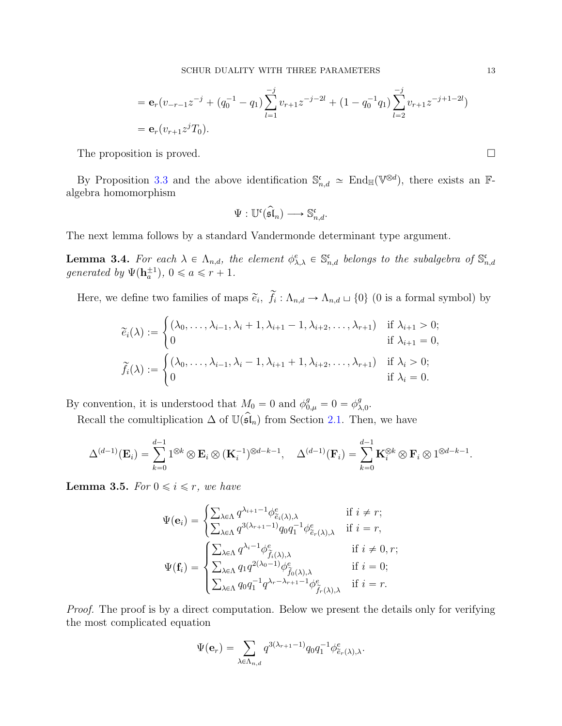$$
= \mathbf{e}_r(v_{-r-1}z^{-j} + (q_0^{-1} - q_1)\sum_{l=1}^{-j} v_{r+1}z^{-j-l} + (1 - q_0^{-1}q_1)\sum_{l=2}^{-j} v_{r+1}z^{-j+1-l} )
$$
  
=  $\mathbf{e}_r(v_{r+1}z^{j}T_0).$ 

The proposition is proved.

By Proposition [3.3](#page-10-0) and the above identification  $\mathbb{S}_{n,d}^{\mathfrak{c}} \simeq \text{End}_{\mathbb{H}}(\mathbb{V}^{\otimes d})$ , there exists an  $\mathbb{F}$ algebra homomorphism

$$
\Psi: \mathbb{U}^{\mathfrak{c}}(\widehat{\mathfrak{sl}}_n) \longrightarrow \mathbb{S}^{\mathfrak{c}}_{n,d}.
$$

The next lemma follows by a standard Vandermonde determinant type argument.

<span id="page-12-0"></span>**Lemma 3.4.** For each  $\lambda \in \Lambda_{n,d}$ , the element  $\phi_{\lambda,\lambda}^e \in \mathbb{S}_{n,d}^{\mathfrak{c}}$  belongs to the subalgebra of  $\mathbb{S}_{n,d}^{\mathfrak{c}}$ generated by  $\Psi(\mathbf{h}_a^{\pm 1}), 0 \leq a \leq r + 1$ .

Here, we define two families of maps  $\tilde{e}_i$ ,  $f_i: \Lambda_{n,d} \to \Lambda_{n,d} \sqcup \{0\}$  (0 is a formal symbol) by

$$
\widetilde{e}_i(\lambda) := \begin{cases}\n(\lambda_0, \dots, \lambda_{i-1}, \lambda_i + 1, \lambda_{i+1} - 1, \lambda_{i+2}, \dots, \lambda_{r+1}) & \text{if } \lambda_{i+1} > 0; \\
0 & \text{if } \lambda_{i+1} = 0, \\
\widetilde{f}_i(\lambda) := \begin{cases}\n(\lambda_0, \dots, \lambda_{i-1}, \lambda_i - 1, \lambda_{i+1} + 1, \lambda_{i+2}, \dots, \lambda_{r+1}) & \text{if } \lambda_i > 0; \\
0 & \text{if } \lambda_i = 0.\n\end{cases}
$$

By convention, it is understood that  $M_0 = 0$  and  $\phi_{0,\mu}^g = 0 = \phi_{\lambda,0}^g$ .

Recall the comultiplication  $\Delta$  of  $\mathbb{U}(\mathfrak{sl}_n)$  from Section [2.1.](#page-2-1) Then, we have

$$
\Delta^{(d-1)}(\mathbf{E}_i) = \sum_{k=0}^{d-1} 1^{\otimes k} \otimes \mathbf{E}_i \otimes (\mathbf{K}_i^{-1})^{\otimes d-k-1}, \quad \Delta^{(d-1)}(\mathbf{F}_i) = \sum_{k=0}^{d-1} \mathbf{K}_i^{\otimes k} \otimes \mathbf{F}_i \otimes 1^{\otimes d-k-1}.
$$

<span id="page-12-1"></span>**Lemma 3.5.** For  $0 \le i \le r$ , we have

$$
\Psi(\mathbf{e}_{i}) = \begin{cases}\n\sum_{\lambda \in \Lambda} q^{\lambda_{i+1}-1} \phi_{\tilde{e}_{i}(\lambda),\lambda}^{e} & \text{if } i \neq r; \\
\sum_{\lambda \in \Lambda} q^{3(\lambda_{r+1}-1)} q_{0} q_{1}^{-1} \phi_{\tilde{e}_{r}(\lambda),\lambda}^{e} & \text{if } i = r, \\
\sum_{\lambda \in \Lambda} q^{\lambda_{i}-1} \phi_{\tilde{f}_{i}(\lambda),\lambda}^{e} & \text{if } i \neq 0, r; \\
\sum_{\lambda \in \Lambda} q_{1} q^{2(\lambda_{0}-1)} \phi_{\tilde{f}_{0}(\lambda),\lambda}^{e} & \text{if } i = 0; \\
\sum_{\lambda \in \Lambda} q_{0} q_{1}^{-1} q^{\lambda_{r}-\lambda_{r+1}-1} \phi_{\tilde{f}_{r}(\lambda),\lambda}^{e} & \text{if } i = r.\n\end{cases}
$$

Proof. The proof is by a direct computation. Below we present the details only for verifying the most complicated equation

$$
\Psi(\mathbf{e}_r) = \sum_{\lambda \in \Lambda_{n,d}} q^{3(\lambda_{r+1}-1)} q_0 q_1^{-1} \phi_{\tilde{e}_r(\lambda),\lambda}^e.
$$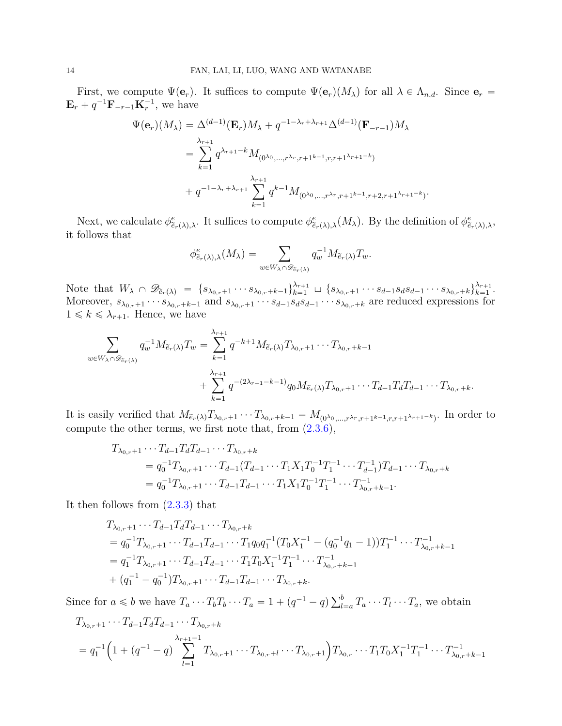First, we compute  $\Psi(\mathbf{e}_r)$ . It suffices to compute  $\Psi(\mathbf{e}_r)(M_\lambda)$  for all  $\lambda \in \Lambda_{n,d}$ . Since  $\mathbf{e}_r =$  ${\bf E}_r + q^{-1}{\bf F}_{-r-1}{\bf K}_r^{-1}$ , we have

$$
\Psi(\mathbf{e}_r)(M_{\lambda}) = \Delta^{(d-1)}(\mathbf{E}_r)M_{\lambda} + q^{-1-\lambda_r+\lambda_{r+1}}\Delta^{(d-1)}(\mathbf{F}_{-r-1})M_{\lambda}
$$
  
\n
$$
= \sum_{k=1}^{\lambda_{r+1}} q^{\lambda_{r+1}-k}M_{(0^{\lambda_0},...,r^{\lambda_r},r+1^{k-1},r,r+1^{\lambda_{r+1}-k})}
$$
  
\n
$$
+ q^{-1-\lambda_r+\lambda_{r+1}} \sum_{k=1}^{\lambda_{r+1}} q^{k-1}M_{(0^{\lambda_0},...,r^{\lambda_r},r+1^{k-1},r+2,r+1^{\lambda_{r+1}-k})}
$$

Next, we calculate  $\phi_{\tilde{e}_r(\lambda),\lambda}^e$ . It suffices to compute  $\phi_{\tilde{e}_r(\lambda),\lambda}^e(M_\lambda)$ . By the definition of  $\phi_{\tilde{e}_r(\lambda),\lambda}^e$ , it follows that

.

$$
\phi_{\tilde{e}_r(\lambda),\lambda}^e(M_\lambda) = \sum_{w \in W_\lambda \cap \mathscr{D}_{\tilde{e}_r(\lambda)}} q_w^{-1} M_{\tilde{e}_r(\lambda)} T_w.
$$

Note that  $W_{\lambda} \cap \mathscr{D}_{\tilde{e}_r(\lambda)} = \{ s_{\lambda_{0,r}} + 1 \cdots s_{\lambda_{0,r}+k-1} \}_{k=1}^{\lambda_{r+1}} \sqcup \{ s_{\lambda_{0,r}} + 1 \cdots s_{d-1} s_d s_{d-1} \cdots s_{\lambda_{0,r}+k} \}_{k=1}^{\lambda_{r+1}}.$ Moreover,  $s_{\lambda_{0,r}+1} \cdots s_{\lambda_{0,r}+k-1}$  and  $s_{\lambda_{0,r}+1} \cdots s_{d-1} s_d s_{d-1} \cdots s_{\lambda_{0,r}+k}$  are reduced expressions for  $1 \leq k \leq \lambda_{r+1}$ . Hence, we have

$$
\sum_{w \in W_{\lambda} \cap \mathscr{D}_{\tilde{e}_r(\lambda)}} q_w^{-1} M_{\tilde{e}_r(\lambda)} T_w = \sum_{k=1}^{\lambda_{r+1}} q^{-k+1} M_{\tilde{e}_r(\lambda)} T_{\lambda_{0,r+1}} \cdots T_{\lambda_{0,r}+k-1}
$$
  
+ 
$$
\sum_{k=1}^{\lambda_{r+1}} q^{-(2\lambda_{r+1}-k-1)} q_0 M_{\tilde{e}_r(\lambda)} T_{\lambda_{0,r}+1} \cdots T_{d-1} T_d T_{d-1} \cdots T_{\lambda_{0,r}+k}.
$$

It is easily verified that  $M_{\tilde{e}_r(\lambda)}T_{\lambda_{0,r}+1}\cdots T_{\lambda_{0,r}+k-1} = M_{(0^{\lambda_0},...,r^{\lambda_r},r+1^{k-1},r,r+1^{\lambda_{r+1}-k})}$ . In order to compute the other terms, we first note that, from [\(2.3.6\)](#page-5-2),

$$
T_{\lambda_{0,r}+1} \cdots T_{d-1} T_d T_{d-1} \cdots T_{\lambda_{0,r}+k}
$$
  
=  $q_0^{-1} T_{\lambda_{0,r}+1} \cdots T_{d-1} (T_{d-1} \cdots T_1 X_1 T_0^{-1} T_1^{-1} \cdots T_{d-1}^{-1}) T_{d-1} \cdots T_{\lambda_{0,r}+k}$   
=  $q_0^{-1} T_{\lambda_{0,r}+1} \cdots T_{d-1} T_{d-1} \cdots T_1 X_1 T_0^{-1} T_1^{-1} \cdots T_{\lambda_{0,r}+k-1}^{-1}$ .

It then follows from [\(2.3.3\)](#page-5-1) that

$$
T_{\lambda_{0,r}+1} \cdots T_{d-1} T_d T_{d-1} \cdots T_{\lambda_{0,r}+k}
$$
  
=  $q_0^{-1} T_{\lambda_{0,r}+1} \cdots T_{d-1} T_{d-1} \cdots T_1 q_0 q_1^{-1} (T_0 X_1^{-1} - (q_0^{-1} q_1 - 1)) T_1^{-1} \cdots T_{\lambda_{0,r}+k-1}^{-1}$   
=  $q_1^{-1} T_{\lambda_{0,r}+1} \cdots T_{d-1} T_{d-1} \cdots T_1 T_0 X_1^{-1} T_1^{-1} \cdots T_{\lambda_{0,r}+k-1}^{-1}$   
+  $(q_1^{-1} - q_0^{-1}) T_{\lambda_{0,r}+1} \cdots T_{d-1} T_{d-1} \cdots T_{\lambda_{0,r}+k}.$ 

Since for  $a \leq b$  we have  $T_a \cdots T_b T_b \cdots T_a = 1 + (q^{-1} - q) \sum_{l=a}^{b} T_a \cdots T_l \cdots T_a$ , we obtain

$$
T_{\lambda_{0,r+1}} \cdots T_{d-1} T_d T_{d-1} \cdots T_{\lambda_{0,r}+k}
$$
  
=  $q_1^{-1} \left( 1 + (q^{-1} - q) \sum_{l=1}^{\lambda_{r+1}-1} T_{\lambda_{0,r}+1} \cdots T_{\lambda_{0,r}+l} \cdots T_{\lambda_{0,r}+1} \right) T_{\lambda_{0,r}} \cdots T_1 T_0 X_1^{-1} T_1^{-1} \cdots T_{\lambda_{0,r}+k-1}^{-1}$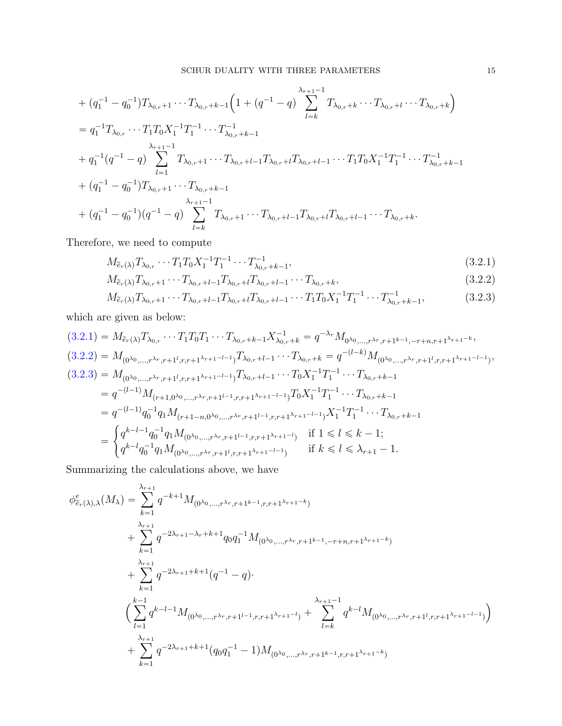+ 
$$
(q_1^{-1} - q_0^{-1})T_{\lambda_{0,r+1}} \cdots T_{\lambda_{0,r}+k-1} \left(1 + (q^{-1} - q) \sum_{l=k}^{\lambda_{r+1}-1} T_{\lambda_{0,r}+k} \cdots T_{\lambda_{0,r}+l} \cdots T_{\lambda_{0,r}+k}\right)
$$
  
\n=  $q_1^{-1}T_{\lambda_{0,r}} \cdots T_1T_0X_1^{-1}T_1^{-1} \cdots T_{\lambda_{0,r}+k-1}^{-1}$   
\n+  $q_1^{-1}(q^{-1} - q) \sum_{l=1}^{\lambda_{r+1}-1} T_{\lambda_{0,r}+1} \cdots T_{\lambda_{0,r}+l-1}T_{\lambda_{0,r}+l}T_{\lambda_{0,r}+l-1} \cdots T_1T_0X_1^{-1}T_1^{-1} \cdots T_{\lambda_{0,r}+k-1}^{-1}$   
\n+  $(q_1^{-1} - q_0^{-1})T_{\lambda_{0,r}+1} \cdots T_{\lambda_{0,r}+k-1}$   
\n+  $(q_1^{-1} - q_0^{-1})(q^{-1} - q) \sum_{l=k}^{\lambda_{r+1}-1} T_{\lambda_{0,r}+l} \cdots T_{\lambda_{0,r}+l-1}T_{\lambda_{0,r}+l}T_{\lambda_{0,r}+l-1} \cdots T_{\lambda_{0,r}+k}.$ 

Therefore, we need to compute

$$
M_{\tilde{e}_r(\lambda)} T_{\lambda_{0,r}} \cdots T_1 T_0 X_1^{-1} T_1^{-1} \cdots T_{\lambda_{0,r}+k-1}^{-1}, \qquad (3.2.1)
$$

<span id="page-14-2"></span><span id="page-14-1"></span><span id="page-14-0"></span>
$$
M_{\tilde{e}_r(\lambda)}T_{\lambda_{0,r}+1}\cdots T_{\lambda_{0,r}+l-1}T_{\lambda_{0,r}+l}T_{\lambda_{0,r}+l-1}\cdots T_{\lambda_{0,r}+k},\tag{3.2.2}
$$

$$
M_{\tilde{e}_r(\lambda)} T_{\lambda_{0,r}+1} \cdots T_{\lambda_{0,r}+l-1} T_{\lambda_{0,r}+l} T_{\lambda_{0,r}+l-1} \cdots T_1 T_0 X_1^{-1} T_1^{-1} \cdots T_{\lambda_{0,r}+k-1}^{-1},
$$
\n(3.2.3)

which are given as below:

$$
(3.2.1) = M_{\tilde{e}_r(\lambda)} T_{\lambda_{0,r}} \cdots T_1 T_0 T_1 \cdots T_{\lambda_{0,r}+k-1} X_{\lambda_{0,r}+k}^{-1} = q^{-\lambda_r} M_{0\lambda_{0,\dots,r}\lambda_{r,r+1}+k-1,-r+n,r+1} \lambda_{r+1}-k,
$$
  
\n
$$
(3.2.2) = M_{(0^{\lambda_{0},\dots,r}\lambda_{r,r+1}l,r,r+1} \lambda_{r+1}-l-1} T_{\lambda_{0,r}+l-1} \cdots T_{\lambda_{0,r}+k} = q^{-(l-k)} M_{(0^{\lambda_{0},\dots,r}\lambda_{r,r+1}l,r,r+1} \lambda_{r+1}-l-1)},
$$
  
\n
$$
(3.2.3) = M_{(0^{\lambda_{0},\dots,r}\lambda_{r,r+1}l,r,r+1} \lambda_{r+1}-l-1} T_{\lambda_{0,r}+l-1} \cdots T_0 X_1^{-1} T_1^{-1} \cdots T_{\lambda_{0,r}+k-1}
$$
  
\n
$$
= q^{-(l-1)} M_{(r+1,0^{\lambda_{0},\dots,r}\lambda_{r,r+1}l-1,r,r+1} \lambda_{r+1}-l-1} T_0 X_1^{-1} T_1^{-1} \cdots T_{\lambda_{0,r}+k-1}
$$
  
\n
$$
= q^{-(l-1)} q_0^{-1} q_1 M_{(r+1-n,0^{\lambda_{0},\dots,r}\lambda_{r,r+1}l-1,r,r+1} \lambda_{r+1}-l-1} X_1^{-1} T_1^{-1} \cdots T_{\lambda_{0,r}+k-1}
$$
  
\n
$$
= \begin{cases} q^{k-l-1} q_0^{-1} q_1 M_{(0^{\lambda_{0},\dots,r}\lambda_{r,r+1}l-1,r,r+1} \lambda_{r+1}-l)} & \text{if } 1 \leq l \leq k-1; \\ q^{k-l} q_0^{-1} q_1 M_{(0^{\lambda_{0},\dots,r}\lambda_{r,r+1}l,r,r+1} \lambda_{r+1}-l-1)} & \text{if } k \leq l \leq \lambda_{r+1}-1. \end{cases}
$$

Summarizing the calculations above, we have

$$
\phi_{\tilde{e}_{r}(\lambda),\lambda}^{e}(M_{\lambda}) = \sum_{k=1}^{\lambda_{r+1}} q^{-k+1} M_{(0^{\lambda_{0}},...,r^{\lambda_{r}},r+1^{k-1},r,r+1^{\lambda_{r+1}-k})}
$$
\n
$$
+ \sum_{k=1}^{\lambda_{r+1}} q^{-2\lambda_{r+1}-\lambda_{r}+k+1} q_{0} q_{1}^{-1} M_{(0^{\lambda_{0}},...,r^{\lambda_{r}},r+1^{k-1},-r+n,r+1^{\lambda_{r+1}-k})}
$$
\n
$$
+ \sum_{k=1}^{\lambda_{r+1}} q^{-2\lambda_{r+1}+k+1} (q^{-1} - q).
$$
\n
$$
\left(\sum_{l=1}^{k-1} q^{k-l-1} M_{(0^{\lambda_{0}},...,r^{\lambda_{r}},r+1^{l-1},r,r+1^{\lambda_{r+1}-l})} + \sum_{l=k}^{\lambda_{r+1}-1} q^{k-l} M_{(0^{\lambda_{0}},...,r^{\lambda_{r}},r+1^{l},r,r+1^{\lambda_{r+1}-l-1})}\right)
$$
\n
$$
+ \sum_{k=1}^{\lambda_{r+1}} q^{-2\lambda_{r+1}+k+1} (q_{0} q_{1}^{-1} - 1) M_{(0^{\lambda_{0}},...,r^{\lambda_{r}},r+1^{k-1},r,r+1^{\lambda_{r+1}-k})}
$$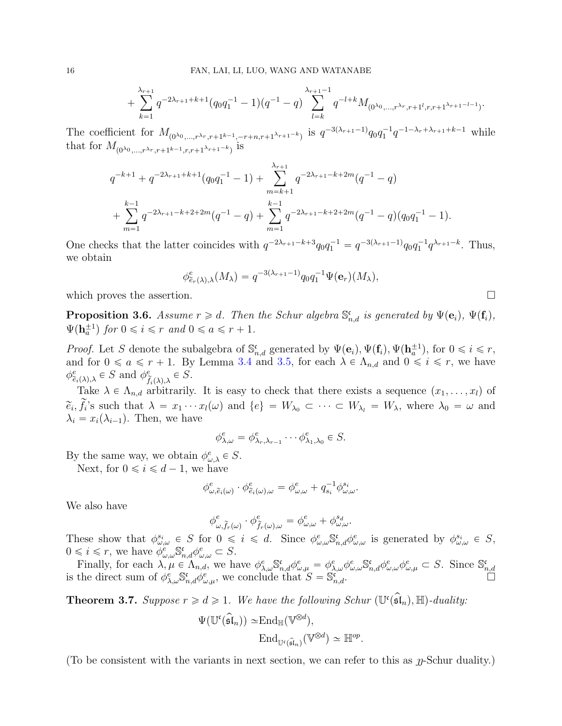$$
+\sum_{k=1}^{\lambda_{r+1}}q^{-2\lambda_{r+1}+k+1}(q_0q_1^{-1}-1)(q^{-1}-q)\sum_{l=k}^{\lambda_{r+1}-1}q^{-l+k}M_{(0^{\lambda_0},\ldots,r^{\lambda_r},r+1^l,r,r+1^{\lambda_{r+1}-l-1})}.
$$

The coefficient for  $M_{(0^{\lambda_0},...,r^{\lambda_r},r+1^{k-1},-r+n,r+1^{\lambda_{r+1}-k})}$  is  $q^{-3(\lambda_{r+1}-1)}q_0q_1^{-1}q^{-1-\lambda_r+\lambda_{r+1}+k-1}$  while that for  $M_{(0^{\lambda_0},...,r^{\lambda_r},r+1^{k-1},r,r+1^{\lambda_{r+1}-k})}$  is

$$
q^{-k+1} + q^{-2\lambda_{r+1}+k+1}(q_0q_1^{-1} - 1) + \sum_{m=k+1}^{\lambda_{r+1}} q^{-2\lambda_{r+1}+k+2m}(q^{-1} - q)
$$
  
+ 
$$
\sum_{m=1}^{k-1} q^{-2\lambda_{r+1}+k+2+2m}(q^{-1} - q) + \sum_{m=1}^{k-1} q^{-2\lambda_{r+1}+k+2+2m}(q^{-1} - q)(q_0q_1^{-1} - 1).
$$

One checks that the latter coincides with  $q^{-2\lambda_{r+1}-k+3}q_0q_1^{-1} = q^{-3(\lambda_{r+1}-1)}q_0q_1^{-1}q^{\lambda_{r+1}-k}$ . Thus, we obtain

$$
\phi_{\tilde{e}_r(\lambda),\lambda}^e(M_\lambda) = q^{-3(\lambda_{r+1}-1)} q_0 q_1^{-1} \Psi(\mathbf{e}_r)(M_\lambda),
$$

which proves the assertion.  $\Box$ 

<span id="page-15-0"></span>**Proposition 3.6.** Assume  $r \geq d$ . Then the Schur algebra  $\mathbb{S}_{n,d}^{\mathfrak{e}}$  is generated by  $\Psi(\mathbf{e}_i)$ ,  $\Psi(\mathbf{f}_i)$ ,  $\Psi(\mathbf{h}_a^{\pm 1})$  for  $0 \leqslant i \leqslant r$  and  $0 \leqslant a \leqslant r + 1$ .

*Proof.* Let S denote the subalgebra of  $\mathbb{S}_{n,d}^{\mathfrak{c}}$  generated by  $\Psi(\mathbf{e}_i), \Psi(\mathbf{f}_i), \Psi(\mathbf{h}_a^{\pm 1}),$  for  $0 \leq i \leq r$ , and for  $0 \le a \le r + 1$ . By Lemma [3.4](#page-12-0) and [3.5,](#page-12-1) for each  $\lambda \in \Lambda_{n,d}$  and  $0 \le i \le r$ , we have  $\phi_{\tilde{e}_i(\lambda),\lambda}^e \in S$  and  $\phi_{\tilde{f}}^e$  $e_{\tilde{f}_i(\lambda),\lambda} \in S.$ 

Take  $\lambda \in \Lambda_{n,d}$  arbitrarily. It is easy to check that there exists a sequence  $(x_1, \ldots, x_l)$  of  $\widetilde{e}_i, f_i$ 's such that  $\lambda = x_1 \cdots x_l(\omega)$  and  $\{e\} = W_{\lambda_0} \subset \cdots \subset W_{\lambda_l} = W_{\lambda}$ , where  $\lambda_0 = \omega$  and  $\lambda_i = x_i(\lambda_{i-1})$ . Then, we have

$$
\phi_{\lambda,\omega}^e = \phi_{\lambda_r,\lambda_{r-1}}^e \cdots \phi_{\lambda_1,\lambda_0}^e \in S.
$$

By the same way, we obtain  $\phi_{\omega,\lambda}^e \in S$ .

Next, for  $0 \le i \le d - 1$ , we have

$$
\phi^e_{\omega,\widetilde{e}_i(\omega)} \cdot \phi^e_{\widetilde{e}_i(\omega),\omega} = \phi^e_{\omega,\omega} + q_{s_i}^{-1} \phi^{s_i}_{\omega,\omega}.
$$

We also have

$$
\phi^e_{\omega,\widetilde{f}_r(\omega)}\cdot \phi^e_{\widetilde{f}_r(\omega),\omega}=\phi^e_{\omega,\omega}+\phi^{s_d}_{\omega,\omega}.
$$

These show that  $\phi_{\omega,\omega}^{s_i} \in S$  for  $0 \leq i \leq d$ . Since  $\phi_{\omega,\omega}^e \mathbb{S}_{n,d}^{\mathfrak{c}} \phi_{\omega,\omega}^e$  is generated by  $\phi_{\omega,\omega}^{s_i} \in S$ ,  $0 \leq i \leq r$ , we have  $\phi_{\omega,\omega}^e \mathbb{S}_{n,d}^{\mathfrak{c}} \phi_{\omega,\omega}^e \subset S$ .

Finally, for each  $\lambda, \mu \in \Lambda_{n,d}$ , we have  $\phi_{\lambda,\omega}^e S_{n,d}^{\mathfrak{e}} \phi_{\omega,\mu}^e = \phi_{\lambda,\omega}^e \phi_{\omega,\omega}^e S_{n,d}^{\mathfrak{e}} \phi_{\omega,\omega}^e \phi_{\omega,\mu}^e \subset S$ . Since  $S_{n,d}^{\mathfrak{e}}$  is the direct sum of  $\phi_{\lambda,\omega}^e S_{n,d}^{\mathfrak{e}} \phi_{\omega,\mu}^e$ , we c

<span id="page-15-1"></span>**Theorem 3.7.** Suppose  $r \geq d \geq 1$ . We have the following Schur  $(\mathbb{U}^{\mathfrak{c}}(\mathfrak{sl}_n), \mathbb{H})$ -duality:

$$
\Psi(\mathbb{U}^{\mathfrak{c}}(\widehat{\mathfrak{sl}}_n)) \simeq \mathrm{End}_{\mathbb{H}}(\mathbb{V}^{\otimes d}),
$$

$$
\mathrm{End}_{\mathbb{U}^{\mathfrak{c}}(\widehat{\mathfrak{sl}}_n)}(\mathbb{V}^{\otimes d}) \simeq \mathbb{H}^{op}.
$$

(To be consistent with the variants in next section, we can refer to this as  $\eta$ -Schur duality.)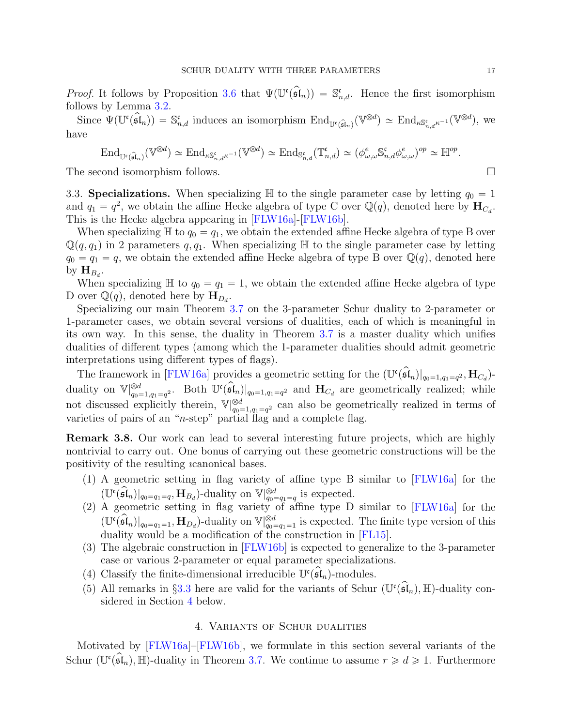*Proof.* It follows by Proposition [3.6](#page-15-0) that  $\Psi(\Psi(\mathfrak{sl}_n)) = \mathbb{S}^{\mathfrak{c}}_{n,d}$ . Hence the first isomorphism follows by Lemma [3.2.](#page-10-1)

Since  $\Psi(\mathbb{U}^{\mathfrak{c}}(\mathfrak{sl}_n)) = \mathbb{S}^{\mathfrak{c}}_{n,d}$  induces an isomorphism  $\text{End}_{\mathbb{U}^{\mathfrak{c}}(\widehat{\mathfrak{sl}}_n)}(\mathbb{V}^{\otimes d}) \simeq \text{End}_{\kappa\mathbb{S}^{\mathfrak{c}}_{n,d}\kappa^{-1}}(\mathbb{V}^{\otimes d})$ , we have

$$
\operatorname{End}_{\mathbb{U}^{\mathfrak{c}}(\widehat{\mathfrak{sl}}_n)}(\mathbb{V}^{\otimes d}) \simeq \operatorname{End}_{\kappa\mathbb{S}^{\mathfrak{c}}_{n,d}\kappa^{-1}}(\mathbb{V}^{\otimes d}) \simeq \operatorname{End}_{\mathbb{S}^{\mathfrak{c}}_{n,d}}(\mathbb{T}^{\mathfrak{c}}_{n,d}) \simeq (\phi^e_{\omega,\omega}\mathbb{S}^{\mathfrak{c}}_{n,d}\phi^e_{\omega,\omega})^{op} \simeq \mathbb{H}^{op}.
$$

<span id="page-16-1"></span>The second isomorphism follows.

3.3. Specializations. When specializing  $\mathbb H$  to the single parameter case by letting  $q_0 = 1$ and  $q_1 = q^2$ , we obtain the affine Hecke algebra of type C over  $\mathbb{Q}(q)$ , denoted here by  $\mathbf{H}_{C_d}$ . This is the Hecke algebra appearing in [\[FLW16a\]](#page-23-12)-[\[FLW16b\]](#page-23-13).

When specializing  $\mathbb{H}$  to  $q_0 = q_1$ , we obtain the extended affine Hecke algebra of type B over  $\mathbb{Q}(q, q_1)$  in 2 parameters q, q<sub>1</sub>. When specializing H to the single parameter case by letting  $q_0 = q_1 = q$ , we obtain the extended affine Hecke algebra of type B over  $\mathbb{Q}(q)$ , denoted here by  $\mathbf{H}_{B_d}$ .

When specializing  $\mathbb H$  to  $q_0 = q_1 = 1$ , we obtain the extended affine Hecke algebra of type D over  $\mathbb{Q}(q)$ , denoted here by  $H_{D_d}$ .

Specializing our main Theorem [3.7](#page-15-1) on the 3-parameter Schur duality to 2-parameter or 1-parameter cases, we obtain several versions of dualities, each of which is meaningful in its own way. In this sense, the duality in Theorem [3.7](#page-15-1) is a master duality which unifies dualities of different types (among which the 1-parameter dualities should admit geometric interpretations using different types of flags).

The framework in [\[FLW16a\]](#page-23-12) provides a geometric setting for the  $(\mathbb{U}^{\mathfrak{c}}(\mathfrak{sl}_n)|_{q_0=1,q_1=q^2}, \mathbf{H}_{C_d})$ duality on  $\mathbb{V}|_{q_0=1,q_1=q^2}^{\otimes d}$ . Both  $\mathbb{U}^{\mathfrak{c}}(\mathfrak{sl}_n)|_{q_0=1,q_1=q^2}$  and  $\mathbf{H}_{C_d}$  are geometrically realized; while not discussed explicitly therein,  $\mathbb{V}|_{q_0=1,q_1=q^2}^{\otimes d}$  can also be geometrically realized in terms of varieties of pairs of an "n-step" partial flag and a complete flag.

Remark 3.8. Our work can lead to several interesting future projects, which are highly nontrivial to carry out. One bonus of carrying out these geometric constructions will be the positivity of the resulting ıcanonical bases.

- (1) A geometric setting in flag variety of affine type B similar to [\[FLW16a\]](#page-23-12) for the  $(\mathbb{U}^{\mathfrak{c}}(\mathfrak{sl}_n)|_{q_0=q_1=q}, \mathbf{H}_{B_d})$ -duality on  $\mathbb{V}|_{q_0=q_1=q}^{\otimes d}$  is expected.
- (2) A geometric setting in flag variety of affine type D similar to [\[FLW16a\]](#page-23-12) for the  $(\mathbb{U}^{\mathfrak{c}}(\widehat{\mathfrak{sl}}_n)|_{q_0=q_1=1}, \mathbf{H}_{D_d})$ -duality on  $\mathbb{V}|_{q_0=q_1=1}^{\otimes d}$  is expected. The finite type version of this duality would be a modification of the construction in [\[FL15\]](#page-23-19).
- (3) The algebraic construction in [\[FLW16b\]](#page-23-13) is expected to generalize to the 3-parameter case or various 2-parameter or equal parameter specializations.
- (4) Classify the finite-dimensional irreducible  $\mathbb{U}^{\mathfrak{c}}(\mathfrak{sl}_n)$ -modules.
- <span id="page-16-0"></span>(5) All remarks in §[3.3](#page-16-1) here are valid for the variants of Schur  $(\mathbb{U}^{\mathfrak{c}}(\mathfrak{sl}_n), \mathbb{H})$ -duality considered in Section [4](#page-16-0) below.

### 4. Variants of Schur dualities

Motivated by [\[FLW16a\]](#page-23-12)–[\[FLW16b\]](#page-23-13), we formulate in this section several variants of the Schur ( $\mathbb{U}^{\mathfrak{c}}(\mathfrak{sl}_n), \mathbb{H}$ )-duality in Theorem [3.7.](#page-15-1) We continue to assume  $r \geq d \geq 1$ . Furthermore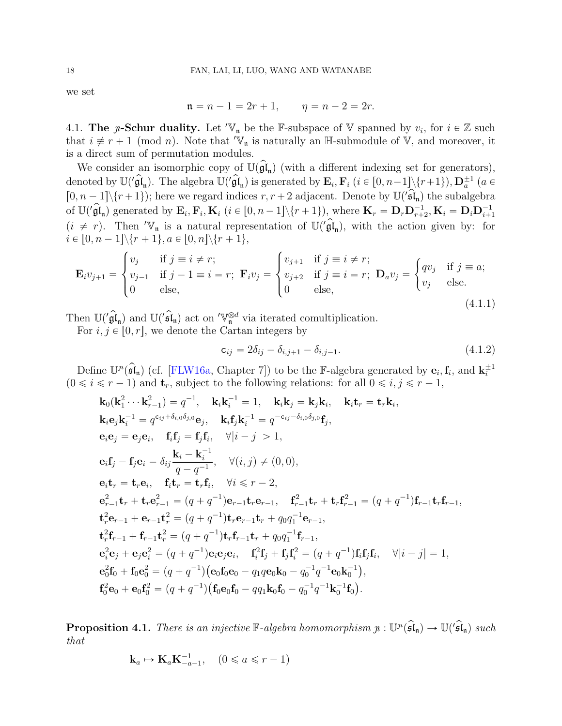we set

$$
n = n - 1 = 2r + 1, \qquad \eta = n - 2 = 2r.
$$

<span id="page-17-1"></span>4.1. The *y*-Schur duality. Let ' $V_n$  be the F-subspace of V spanned by  $v_i$ , for  $i \in \mathbb{Z}$  such that  $i \neq r + 1 \pmod{n}$ . Note that 'V<sub>n</sub> is naturally an H-submodule of V, and moreover, it is a direct sum of permutation modules.

We consider an isomorphic copy of  $\mathbb{U}(\mathfrak{gl}_n)$  (with a different indexing set for generators), denoted by  $\mathbb{U}(\hat{\mathfrak{gl}}_n)$ . The algebra  $\mathbb{U}(\hat{\mathfrak{gl}}_n)$  is generated by  $\mathbf{E}_i$ ,  $\mathbf{F}_i$   $(i \in [0, n-1] \setminus \{r+1\})$ ,  $\mathbf{D}_a^{\pm 1}$   $(a \in$  $[0, n-1] \setminus \{r+1\}$ ; here we regard indices  $r, r+2$  adjacent. Denote by  $\mathbb{U}(\mathbf{F})$  the subalgebra of  $\mathbb{U}(\hat{g})_{\mathfrak{n}}$  generated by  $\mathbf{E}_i$ ,  $\mathbf{F}_i$ ,  $\mathbf{K}_i$  ( $i \in [0, n-1] \setminus \{r+1\}$ ), where  $\mathbf{K}_r = \mathbf{D}_r \mathbf{D}_{r+2}^{-1}$ ,  $\mathbf{K}_i = \mathbf{D}_i \mathbf{D}_{i+1}^{-1}$  $(i \neq r)$ . Then 'V<sub>n</sub> is a natural representation of  $\mathbb{U}(\mathfrak{gl}_n)$ , with the action given by: for  $i \in [0, n - 1] \setminus \{r + 1\}, a \in [0, n] \setminus \{r + 1\},\$ 

<span id="page-17-0"></span>
$$
\mathbf{E}_{i}v_{j+1} = \begin{cases} v_{j} & \text{if } j \equiv i \neq r; \\ v_{j-1} & \text{if } j-1 \equiv i = r; \\ 0 & \text{else,} \end{cases} \mathbf{F}_{i}v_{j} = \begin{cases} v_{j+1} & \text{if } j \equiv i \neq r; \\ v_{j+2} & \text{if } j \equiv i = r; \\ 0 & \text{else,} \end{cases} \mathbf{D}_{a}v_{j} = \begin{cases} qv_{j} & \text{if } j \equiv a; \\ v_{j} & \text{else.} \end{cases}
$$
  
(4.1.1)

Then  $\mathbb{U}(\mathbf{gl}_n)$  and  $\mathbb{U}(\mathbf{gl}_n)$  act on  $\mathbb{V}_n^{\otimes d}$  via iterated comultiplication.

For  $i, j \in [0, r]$ , we denote the Cartan integers by

$$
c_{ij} = 2\delta_{ij} - \delta_{i,j+1} - \delta_{i,j-1}.
$$
\n(4.1.2)

Define  $\mathbb{U}^n(\hat{\mathfrak{sl}}_n)$  (cf. [\[FLW16a,](#page-23-12) Chapter 7]) to be the F-algebra generated by  $\mathbf{e}_i, \mathbf{f}_i$ , and  $\mathbf{k}_i^{\pm 1}$ <br>( $0 \le i \le r - 1$ ) and  $\mathbf{t}_r$ , subject to the following relations: for all  $0 \le i, j \le r - 1$ ,

$$
\mathbf{k}_{0}(\mathbf{k}_{1}^{2}\cdots\mathbf{k}_{r-1}^{2}) = q^{-1}, \quad \mathbf{k}_{i}\mathbf{k}_{i}^{-1} = 1, \quad \mathbf{k}_{i}\mathbf{k}_{j} = \mathbf{k}_{j}\mathbf{k}_{i}, \quad \mathbf{k}_{i}\mathbf{t}_{r} = \mathbf{t}_{r}\mathbf{k}_{i},
$$
\n
$$
\mathbf{k}_{i}\mathbf{e}_{j}\mathbf{k}_{i}^{-1} = q^{c_{ij} + \delta_{i,0}\delta_{j,0}}\mathbf{e}_{j}, \quad \mathbf{k}_{i}\mathbf{f}_{j}\mathbf{k}_{i}^{-1} = q^{-c_{ij} - \delta_{i,0}\delta_{j,0}}\mathbf{f}_{j},
$$
\n
$$
\mathbf{e}_{i}\mathbf{e}_{j} = \mathbf{e}_{j}\mathbf{e}_{i}, \quad \mathbf{f}_{i}\mathbf{f}_{j} = \mathbf{f}_{j}\mathbf{f}_{i}, \quad \forall |i - j| > 1,
$$
\n
$$
\mathbf{e}_{i}\mathbf{f}_{j} - \mathbf{f}_{j}\mathbf{e}_{i} = \delta_{ij}\frac{\mathbf{k}_{i} - \mathbf{k}_{i}^{-1}}{q - q^{-1}}, \quad \forall (i, j) \neq (0, 0),
$$
\n
$$
\mathbf{e}_{i}\mathbf{t}_{r} = \mathbf{t}_{r}\mathbf{e}_{i}, \quad \mathbf{f}_{i}\mathbf{t}_{r} = \mathbf{t}_{r}\mathbf{f}_{i}, \quad \forall i \leq r - 2,
$$
\n
$$
\mathbf{e}_{r-1}^{2}\mathbf{t}_{r} + \mathbf{t}_{r}\mathbf{e}_{r-1}^{2} = (q + q^{-1})\mathbf{e}_{r-1}\mathbf{t}_{r}\mathbf{e}_{r-1}, \quad \mathbf{f}_{r-1}^{2}\mathbf{t}_{r} + \mathbf{t}_{r}\mathbf{f}_{r-1}^{2} = (q + q^{-1})\mathbf{t}_{r}\mathbf{e}_{r-1},
$$
\n
$$
\mathbf{t}_{r}^{2}\mathbf{e}_{r-1} + \mathbf{e}_{r-1}\mathbf{t}_{r}^{2} = (q + q^{-1})\mathbf{t}_{r}\mathbf{e}_{r-1}\mathbf{t}_{r} + q_{0}q_{1}^{-1}\mathbf{e}_{r-1},
$$
\n
$$
\mathbf
$$

<span id="page-17-2"></span>**Proposition 4.1.** There is an injective  $\mathbb{F}\text{-}algebra homomorphism$   $\mu: \mathbb{U}^n(\mathfrak{sl}_n) \to \mathbb{U}(\mathfrak{sl}_n)$  such that

$$
\mathbf{k}_a \mapsto \mathbf{K}_a \mathbf{K}_{-a-1}^{-1}, \quad (0 \leq a \leq r-1)
$$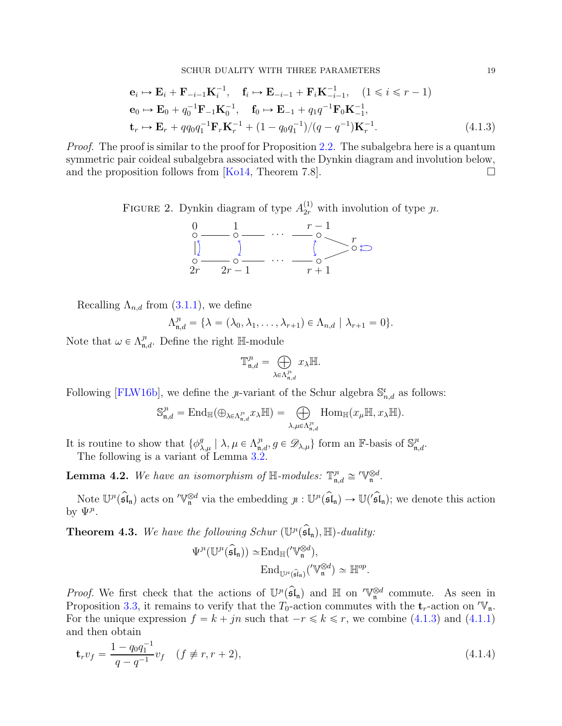$$
\mathbf{e}_{i} \mapsto \mathbf{E}_{i} + \mathbf{F}_{-i-1} \mathbf{K}_{i}^{-1}, \quad \mathbf{f}_{i} \mapsto \mathbf{E}_{-i-1} + \mathbf{F}_{i} \mathbf{K}_{-i-1}^{-1}, \quad (1 \leq i \leq r-1)
$$
  
\n
$$
\mathbf{e}_{0} \mapsto \mathbf{E}_{0} + q_{0}^{-1} \mathbf{F}_{-1} \mathbf{K}_{0}^{-1}, \quad \mathbf{f}_{0} \mapsto \mathbf{E}_{-1} + q_{1} q^{-1} \mathbf{F}_{0} \mathbf{K}_{-1}^{-1},
$$
  
\n
$$
\mathbf{t}_{r} \mapsto \mathbf{E}_{r} + q q_{0} q_{1}^{-1} \mathbf{F}_{r} \mathbf{K}_{r}^{-1} + (1 - q_{0} q_{1}^{-1})/(q - q^{-1}) \mathbf{K}_{r}^{-1}.
$$
\n(4.1.3)

*Proof.* The proof is similar to the proof for Proposition [2.2.](#page-3-2) The subalgebra here is a quantum symmetric pair coideal subalgebra associated with the Dynkin diagram and involution below, and the proposition follows from [\[Ko14,](#page-23-8) Theorem 7.8].  $\Box$ 

FIGURE 2. Dynkin diagram of type  $A_{2r}^{(1)}$  with involution of type  $\jmath\iota$ .

<span id="page-18-0"></span>

Recalling  $\Lambda_{n,d}$  from  $(3.1.1)$ , we define

$$
\Lambda_{\mathfrak{n},d}^{\jmath\mathfrak{n}} = \{\lambda = (\lambda_0, \lambda_1, \dots, \lambda_{r+1}) \in \Lambda_{n,d} \mid \lambda_{r+1} = 0\}.
$$

Note that  $\omega \in \Lambda_{\mathfrak{n},d}^n$ . Define the right H-module

$$
\mathbb{T}^{\jmath\imath}_{\mathfrak{n},d} = \bigoplus_{\lambda \in \Lambda^{\jmath\imath}_{\mathfrak{n},d}} x_{\lambda} \mathbb{H}.
$$

Following [\[FLW16b\]](#page-23-13), we define the *y*-variant of the Schur algebra  $\mathbb{S}_{n,d}^{\mathfrak{c}}$  as follows:

$$
\mathbb{S}^{\jmath\imath}_{\mathfrak{n},d}=\mathrm{End}_{\mathbb{H}}(\oplus_{\lambda\in\Lambda^{\jmath\imath}_{\mathfrak{n},d}}x_{\lambda}\mathbb{H})=\bigoplus_{\lambda,\mu\in\Lambda^{\jmath\imath}_{\mathfrak{n},d}}\mathrm{Hom}_{\mathbb{H}}(x_{\mu}\mathbb{H},x_{\lambda}\mathbb{H}).
$$

It is routine to show that  $\{\phi_{\lambda,\mu}^g \mid \lambda, \mu \in \Lambda_{\mathfrak{n},d}^n, g \in \mathscr{D}_{\lambda,\mu}\}\)$  form an F-basis of  $\mathbb{S}_{\mathfrak{n},d}^n$ . The following is a variant of Lemma [3.2.](#page-10-1)

<span id="page-18-1"></span>**Lemma 4.2.** We have an isomorphism of  $\mathbb{H}$ -modules:  $\mathbb{T}^n_{\mathfrak{n},d} \cong \mathbb{V}_\mathfrak{n}^{\otimes d}$ .

Note  $\mathbb{U}^n(\mathfrak{sl}_n)$  acts on  $\mathbb{V}_n^{\otimes d}$  via the embedding  $p : \mathbb{U}^n(\mathfrak{sl}_n) \to \mathbb{U}(\mathfrak{sl}_n)$ ; we denote this action by  $\Psi^{\jmath}$ .

<span id="page-18-2"></span>**Theorem 4.3.** We have the following Schur  $(\mathbb{U}^n(\mathfrak{sl}_n), \mathbb{H})$ -duality:

$$
\Psi^{\jmath}(\mathbb{U}^{\jmath}(\widehat{\mathfrak{sl}}_n)) \simeq \mathrm{End}_{\mathbb{H}}(^{\prime} \mathbb{V}_n^{\otimes d}),
$$

$$
\mathrm{End}_{\mathbb{U}^{\jmath}(\widehat{\mathfrak{sl}}_n)}(^{\prime} \mathbb{V}_n^{\otimes d}) \simeq \mathbb{H}^{op}.
$$

*Proof.* We first check that the actions of  $\mathbb{U}^n(\mathfrak{sl}_n)$  and H on  $\mathbb{V}_n^{\otimes d}$  commute. As seen in Proposition [3.3,](#page-10-0) it remains to verify that the  $T_0$ -action commutes with the  $t_r$ -action on  $\mathbb{V}_n$ . For the unique expression  $f = k + jn$  such that  $-r \leq k \leq r$ , we combine [\(4.1.3\)](#page-18-0) and [\(4.1.1\)](#page-17-0) and then obtain

$$
\mathbf{t}_r v_f = \frac{1 - q_0 q_1^{-1}}{q - q^{-1}} v_f \quad (f \neq r, r + 2), \tag{4.1.4}
$$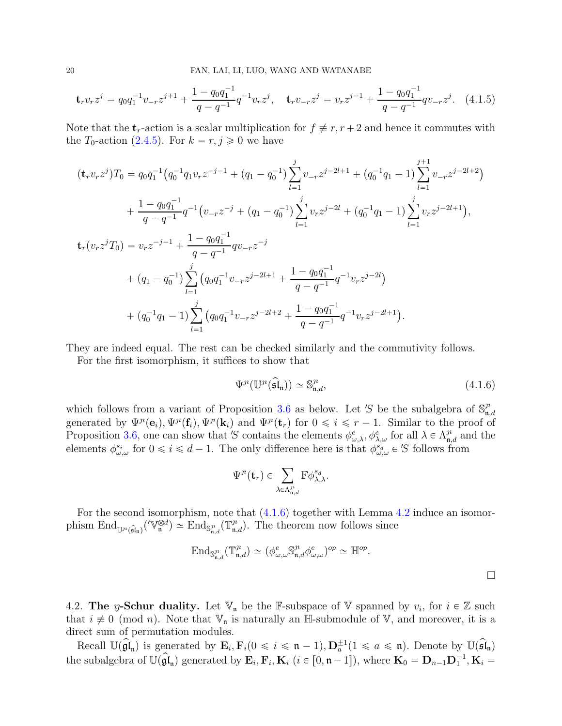$$
\mathbf{t}_r v_r z^j = q_0 q_1^{-1} v_{-r} z^{j+1} + \frac{1 - q_0 q_1^{-1}}{q - q^{-1}} q^{-1} v_r z^j, \quad \mathbf{t}_r v_{-r} z^j = v_r z^{j-1} + \frac{1 - q_0 q_1^{-1}}{q - q^{-1}} q v_{-r} z^j. \tag{4.1.5}
$$

Note that the  $t_r$ -action is a scalar multiplication for  $f \neq r, r + 2$  and hence it commutes with the  $T_0$ -action [\(2.4.5\)](#page-7-0). For  $k = r, j \geq 0$  we have

$$
(\mathbf{t}_{r}v_{r}z^{j})T_{0} = q_{0}q_{1}^{-1}(q_{0}^{-1}q_{1}v_{r}z^{-j-1} + (q_{1} - q_{0}^{-1})\sum_{l=1}^{j}v_{-r}z^{j-2l+1} + (q_{0}^{-1}q_{1} - 1)\sum_{l=1}^{j+1}v_{-r}z^{j-2l+2})
$$
  
+ 
$$
\frac{1 - q_{0}q_{1}^{-1}}{q - q^{-1}}q^{-1}(v_{-r}z^{-j} + (q_{1} - q_{0}^{-1})\sum_{l=1}^{j}v_{r}z^{j-2l} + (q_{0}^{-1}q_{1} - 1)\sum_{l=1}^{j}v_{r}z^{j-2l+1}),
$$
  

$$
\mathbf{t}_{r}(v_{r}z^{j}T_{0}) = v_{r}z^{-j-1} + \frac{1 - q_{0}q_{1}^{-1}}{q - q^{-1}}qv_{-r}z^{-j}
$$
  
+ 
$$
(q_{1} - q_{0}^{-1})\sum_{l=1}^{j}(q_{0}q_{1}^{-1}v_{-r}z^{j-2l+1} + \frac{1 - q_{0}q_{1}^{-1}}{q - q^{-1}}q^{-1}v_{r}z^{j-2l})
$$
  
+ 
$$
(q_{0}^{-1}q_{1} - 1)\sum_{l=1}^{j}(q_{0}q_{1}^{-1}v_{-r}z^{j-2l+2} + \frac{1 - q_{0}q_{1}^{-1}}{q - q^{-1}}q^{-1}v_{r}z^{j-2l+1}).
$$

They are indeed equal. The rest can be checked similarly and the commutivity follows.

For the first isomorphism, it suffices to show that

<span id="page-19-0"></span>
$$
\Psi^{\jmath}(\mathbb{U}^{\jmath}(\widehat{\mathfrak{sl}}_n)) \simeq \mathbb{S}^{\jmath}_{n,d},\tag{4.1.6}
$$

which follows from a variant of Proposition [3.6](#page-15-0) as below. Let 'S be the subalgebra of  $\mathbb{S}_n^n$  $\mathfrak{n},d$ generated by  $\Psi^{\mu}(\mathbf{e}_i), \Psi^{\mu}(\mathbf{f}_i), \Psi^{\mu}(\mathbf{k}_i)$  and  $\Psi^{\mu}(\mathbf{t}_r)$  for  $0 \leq i \leq r - 1$ . Similar to the proof of Proposition [3.6,](#page-15-0) one can show that 'S contains the elements  $\phi_{\omega,\lambda}^e, \phi_{\lambda,\omega}^e$  for all  $\lambda \in \Lambda_{\mathfrak{n},d}^n$  and the elements  $\phi_{\omega,\omega}^{s_i}$  for  $0 \leq i \leq d-1$ . The only difference here is that  $\phi_{\omega,\omega}^{s_i} \in S$  follows from

$$
\Psi^{\jmath}(\mathbf{t}_r) \in \sum_{\lambda \in \Lambda^{\jmath^{\imath}}_{\mathfrak{n},d}} \mathbb{F} \phi_{\lambda,\lambda}^{s_d}.
$$

For the second isomorphism, note that  $(4.1.6)$  together with Lemma [4.2](#page-18-1) induce an isomorphism  $\text{End}_{\mathbb{U}^n(\widehat{\mathfrak{sl}}_n)}(\mathbb{V}_n^{\otimes d}) \simeq \text{End}_{\mathbb{S}_{n,d}^n}(\mathbb{T}_{n,d}^n)$ . The theorem now follows since

$$
\text{End}_{\mathbb{S}^{\jmath\circ}_{\mathfrak{n},d}}(\mathbb{T}^{\jmath\circ}_{\mathfrak{n},d}) \simeq (\phi^e_{\omega,\omega} \mathbb{S}^{\jmath\circ}_{\mathfrak{n},d} \phi^e_{\omega,\omega})^{op} \simeq \mathbb{H}^{op}.
$$

4.2. The y-Schur duality. Let  $\mathbb{V}_n$  be the F-subspace of  $\mathbb{V}$  spanned by  $v_i$ , for  $i \in \mathbb{Z}$  such that  $i \neq 0 \pmod{n}$ . Note that  $\mathbb{V}_n$  is naturally an H-submodule of V, and moreover, it is a direct sum of permutation modules.

Recall  $\mathbb{U}(\widehat{\mathfrak{gl}}_{\mathfrak{n}})$  is generated by  $\mathbf{E}_i, \mathbf{F}_i (0 \leq i \leq \mathfrak{n} - 1), \mathbf{D}_a^{\pm 1} (1 \leq a \leq \mathfrak{n}).$  Denote by  $\mathbb{U}(\widehat{\mathfrak{sl}}_{\mathfrak{n}})$ the subalgebra of  $\mathbb{U}(\widehat{\mathfrak{gl}}_n)$  generated by  $\mathbf{E}_i$ ,  $\mathbf{F}_i$ ,  $\mathbf{K}_i$   $(i \in [0, n-1])$ , where  $\mathbf{K}_0 = \mathbf{D}_{n-1}\mathbf{D}_1^{-1}$ ,  $\mathbf{K}_i =$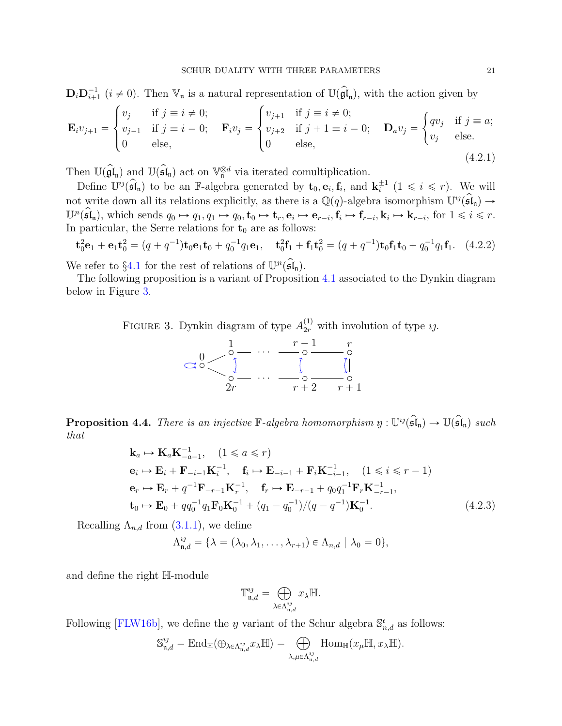$\mathbf{D}_i \mathbf{D}_{i+1}^{-1}$   $(i \neq 0)$ . Then  $\mathbb{V}_n$  is a natural representation of  $\mathbb{U}(\widehat{\mathfrak{gl}}_n)$ , with the action given by

$$
\mathbf{E}_{i}v_{j+1} = \begin{cases} v_{j} & \text{if } j \equiv i \neq 0; \\ v_{j-1} & \text{if } j \equiv i = 0; \\ 0 & \text{else,} \end{cases} \quad \mathbf{F}_{i}v_{j} = \begin{cases} v_{j+1} & \text{if } j \equiv i \neq 0; \\ v_{j+2} & \text{if } j+1 \equiv i = 0; \\ 0 & \text{else,} \end{cases} \quad \mathbf{D}_{a}v_{j} = \begin{cases} qv_{j} & \text{if } j \equiv a; \\ v_{j} & \text{else.} \end{cases}
$$
  
(4.2.1)

Then  $\mathbb{U}(\hat{\mathfrak{gl}}_n)$  and  $\mathbb{U}(\hat{\mathfrak{sl}}_n)$  act on  $\mathbb{V}_n^{\otimes d}$  via iterated comultiplication.

Define  $\mathbb{U}^{ij}(\widehat{\mathfrak{sl}}_n)$  to be an F-algebra generated by  $\mathbf{t}_0, \mathbf{e}_i, \mathbf{f}_i$ , and  $\mathbf{k}_i^{\pm 1}$   $(1 \leq i \leq r)$ . We will not write down all its relations explicitly, as there is a  $\mathbb{Q}(q)$ -algebra isomorphism  $\mathbb{U}^{ij}(\mathfrak{sl}_n) \to$  $\mathbb{U}^n(\mathfrak{sl}_n)$ , which sends  $q_0 \mapsto q_1, q_1 \mapsto q_0, \mathbf{t}_0 \mapsto \mathbf{t}_r, \mathbf{e}_i \mapsto \mathbf{e}_{r-i}, \mathbf{f}_i \mapsto \mathbf{f}_{r-i}, \mathbf{k}_i \mapsto \mathbf{k}_{r-i}$ , for  $1 \leq i \leq r$ . In particular, the Serre relations for  $t_0$  are as follows:

$$
\mathbf{t}_0^2 \mathbf{e}_1 + \mathbf{e}_1 \mathbf{t}_0^2 = (q + q^{-1}) \mathbf{t}_0 \mathbf{e}_1 \mathbf{t}_0 + q_0^{-1} q_1 \mathbf{e}_1, \quad \mathbf{t}_0^2 \mathbf{f}_1 + \mathbf{f}_1 \mathbf{t}_0^2 = (q + q^{-1}) \mathbf{t}_0 \mathbf{f}_1 \mathbf{t}_0 + q_0^{-1} q_1 \mathbf{f}_1. \tag{4.2.2}
$$

We refer to §[4.1](#page-17-1) for the rest of relations of  $\mathbb{U}^n(\mathfrak{sl}_n)$ .

The following proposition is a variant of Proposition [4.1](#page-17-2) associated to the Dynkin diagram below in Figure [3.](#page-20-0)

FIGURE 3. Dynkin diagram of type  $A_{2r}^{(1)}$  with involution of type  $i$ .

<span id="page-20-0"></span>

**Proposition 4.4.** There is an injective  $\mathbb{F}\text{-}algebra homomorphism \ y: \mathbb{U}^{\mathcal{U}}(\widehat{\mathfrak{sl}}_{\mathfrak{n}}) \to \mathbb{U}(\widehat{\mathfrak{sl}}_{\mathfrak{n}}) \ such$ that

$$
\mathbf{k}_{a} \mapsto \mathbf{K}_{a} \mathbf{K}_{-a-1}^{-1}, \quad (1 \leq a \leq r)
$$
\n
$$
\mathbf{e}_{i} \mapsto \mathbf{E}_{i} + \mathbf{F}_{-i-1} \mathbf{K}_{i}^{-1}, \quad \mathbf{f}_{i} \mapsto \mathbf{E}_{-i-1} + \mathbf{F}_{i} \mathbf{K}_{-i-1}^{-1}, \quad (1 \leq i \leq r - 1)
$$
\n
$$
\mathbf{e}_{r} \mapsto \mathbf{E}_{r} + q^{-1} \mathbf{F}_{-r-1} \mathbf{K}_{r}^{-1}, \quad \mathbf{f}_{r} \mapsto \mathbf{E}_{-r-1} + q_{0} q_{1}^{-1} \mathbf{F}_{r} \mathbf{K}_{-r-1}^{-1},
$$
\n
$$
\mathbf{t}_{0} \mapsto \mathbf{E}_{0} + q q_{0}^{-1} q_{1} \mathbf{F}_{0} \mathbf{K}_{0}^{-1} + (q_{1} - q_{0}^{-1})/(q - q^{-1}) \mathbf{K}_{0}^{-1}.
$$
\n(4.2.3)

Recalling  $\Lambda_{n,d}$  from  $(3.1.1)$ , we define

$$
\Lambda_{\mathfrak{n},d}^{ij} = \{\lambda = (\lambda_0, \lambda_1, \dots, \lambda_{r+1}) \in \Lambda_{n,d} \mid \lambda_0 = 0\},\
$$

and define the right H-module

$$
\mathbb{T}^{ij}_{\mathfrak{n},d} = \bigoplus_{\lambda \in \Lambda^{ij}_{\mathfrak{n},d}} x_{\lambda} \mathbb{H}.
$$

Following [\[FLW16b\]](#page-23-13), we define the *y* variant of the Schur algebra  $\mathbb{S}_{n,d}^{\mathfrak{c}}$  as follows:

$$
\mathbb{S}_{\mathfrak{n},d}^{ij}=\mathrm{End}_{\mathbb{H}}(\oplus_{\lambda\in\Lambda_{\mathfrak{n},d}^{ij}}x_{\lambda}\mathbb{H})=\bigoplus_{\lambda,\mu\in\Lambda_{\mathfrak{n},d}^{ij}}\mathrm{Hom}_{\mathbb{H}}(x_{\mu}\mathbb{H},x_{\lambda}\mathbb{H}).
$$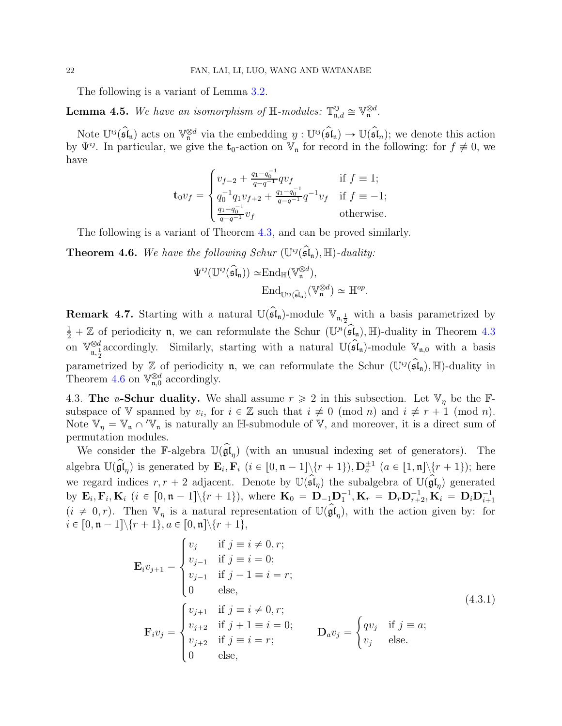The following is a variant of Lemma [3.2.](#page-10-1)

**Lemma 4.5.** We have an isomorphism of  $\mathbb{H}$ -modules:  $\mathbb{T}^{ij}_{n,d} \cong \mathbb{V}^{\otimes d}_{n}$ .

Note  $\mathbb{U}^{ij}(\mathfrak{sl}_n)$  acts on  $\mathbb{V}_n^{\otimes d}$  via the embedding  $y : \mathbb{U}^{ij}(\mathfrak{sl}_n) \to \mathbb{U}(\mathfrak{sl}_n)$ ; we denote this action by  $\Psi^{ij}$ . In particular, we give the  $t_0$ -action on  $V_n$  for record in the following: for  $f \neq 0$ , we have

$$
\mathbf{t}_0 v_f = \begin{cases} v_{f-2} + \frac{q_1 - q_0^{-1}}{q - q^{-1}} q v_f & \text{if } f \equiv 1; \\ q_0^{-1} q_1 v_{f+2} + \frac{q_1 - q_0^{-1}}{q - q^{-1}} q^{-1} v_f & \text{if } f \equiv -1; \\ \frac{q_1 - q_0^{-1}}{q - q^{-1}} v_f & \text{otherwise.} \end{cases}
$$

The following is a variant of Theorem [4.3,](#page-18-2) and can be proved similarly.

<span id="page-21-0"></span>**Theorem 4.6.** We have the following Schur  $(\mathbb{U}^{ij}(\mathfrak{sl}_n), \mathbb{H})$ -duality:

$$
\Psi^{\imath\jmath}(\mathbb{U}^{\imath\jmath}(\widehat{\mathfrak{sl}}_n)) \simeq \mathrm{End}_{\mathbb{H}}(\mathbb{V}_n^{\otimes d}),
$$

$$
\mathrm{End}_{\mathbb{U}^{\imath\jmath}(\widehat{\mathfrak{sl}}_n)}(\mathbb{V}_n^{\otimes d}) \simeq \mathbb{H}^{op}.
$$

**Remark 4.7.** Starting with a natural  $\mathbb{U}(\mathfrak{sl}_n)$ -module  $\mathbb{V}_{n,\frac{1}{2}}$  with a basis parametrized by  $\frac{1}{2} + \mathbb{Z}$  of periodicity **n**, we can reformulate the Schur  $(\mathbb{U}^n(\hat{\mathfrak{sl}}_n), \mathbb{H})$ -duality in Theorem [4.3](#page-18-2) on  $\mathbb{V}_{n-1}^{\otimes d}$  $\int_{\mathfrak{n},\frac{1}{2}}^{\infty}$  accordingly. Similarly, starting with a natural  $\mathbb{U}(\mathfrak{sl}_n)$ -module  $\mathbb{V}_{\mathfrak{n},0}$  with a basis parametrized by  $\mathbb{Z}$  of periodicity **n**, we can reformulate the Schur  $(\mathbb{U}^{ij}(\mathfrak{sl}_n), \mathbb{H})$ -duality in Theorem [4.6](#page-21-0) on  $\mathbb{V}_{\mathfrak{n},0}^{\otimes d}$  accordingly.

4.3. The *u*-Schur duality. We shall assume  $r \geq 2$  in this subsection. Let  $V_n$  be the Fsubspace of V spanned by  $v_i$ , for  $i \in \mathbb{Z}$  such that  $i \not\equiv 0 \pmod{n}$  and  $i \not\equiv r + 1 \pmod{n}$ . Note  $\mathbb{V}_\eta = \mathbb{V}_{\mathfrak{n}} \cap {}'\mathbb{V}_{\mathfrak{n}}$  is naturally an H-submodule of  $\mathbb{V}$ , and moreover, it is a direct sum of permutation modules.

We consider the F-algebra  $\mathbb{U}(\mathfrak{gl}_{n})$  (with an unusual indexing set of generators). The algebra  $\mathbb{U}(\widehat{\mathfrak{gl}}_{\eta})$  is generated by  $\mathbf{E}_i$ ,  $\mathbf{F}_i$   $(i \in [0, \mathfrak{n} - 1] \setminus \{r+1\})$ ,  $\mathbf{D}_a^{\pm 1}$   $(a \in [1, \mathfrak{n}] \setminus \{r+1\})$ ; here we regard indices  $r, r + 2$  adjacent. Denote by  $\mathbb{U}(\mathfrak{sl}_\eta)$  the subalgebra of  $\mathbb{U}(\mathfrak{gl}_\eta)$  generated by  $\mathbf{E}_i, \mathbf{F}_i, \mathbf{K}_i \; (i \in [0, n-1] \setminus \{r+1\}),$  where  $\mathbf{K}_0 = \mathbf{D}_{-1} \mathbf{D}_1^{-1}, \mathbf{K}_r = \mathbf{D}_r \mathbf{D}_{r+2}^{-1}, \mathbf{K}_i = \mathbf{D}_i \mathbf{D}_{i+1}^{-1}$  $(i \neq 0, r)$ . Then  $\mathbb{V}_\eta$  is a natural representation of  $\mathbb{U}(\mathfrak{gl}_\eta)$ , with the action given by: for  $i \in [0, \mathfrak{n} - 1] \backslash \{r + 1\}, a \in [0, \mathfrak{n}] \backslash \{r + 1\},\$ 

$$
\mathbf{E}_{i}v_{j+1} = \begin{cases} v_{j} & \text{if } j \equiv i \neq 0, r; \\ v_{j-1} & \text{if } j \equiv i = 0; \\ v_{j-1} & \text{if } j-1 \equiv i = r; \\ 0 & \text{else,} \end{cases}
$$
  
\n
$$
\mathbf{F}_{i}v_{j} = \begin{cases} v_{j+1} & \text{if } j \equiv i \neq 0, r; \\ v_{j+2} & \text{if } j+1 \equiv i = 0; \\ v_{j+2} & \text{if } j \equiv i = r; \\ 0 & \text{else,} \end{cases}
$$
  
\n
$$
\mathbf{D}_{a}v_{j} = \begin{cases} qv_{j} & \text{if } j \equiv a; \\ v_{j} & \text{else.} \end{cases}
$$
  
\n(4.3.1)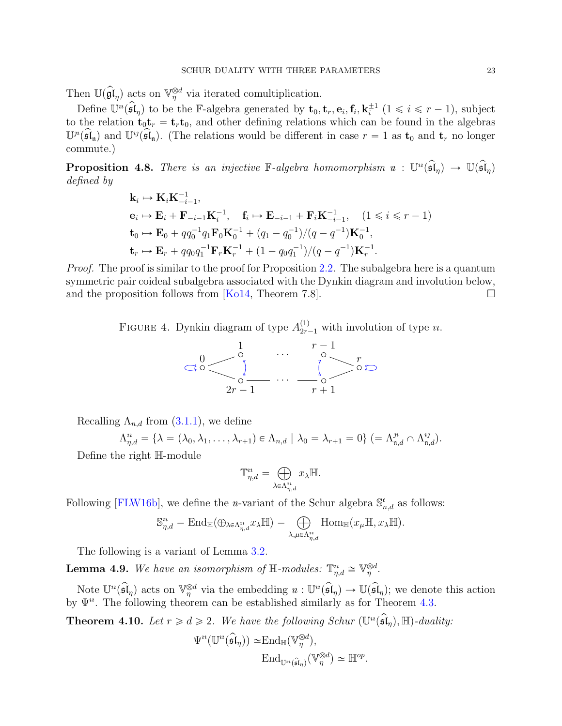Then  $\mathbb{U}(\hat{\mathfrak{gl}}_{\eta})$  acts on  $\mathbb{V}_{\eta}^{\otimes d}$  via iterated comultiplication.

Define  $\mathbb{U}^n(\widehat{\mathfrak{sl}}_{\eta})$  to be the F-algebra generated by  $\mathbf{t}_0, \mathbf{t}_r, \mathbf{e}_i, \mathbf{f}_i, \mathbf{k}_i^{\pm 1}$   $(1 \leq i \leq r-1)$ , subject to the relation  $t_0t_r = t_rt_0$ , and other defining relations which can be found in the algebras  $\mathbb{U}^n(\widehat{\mathfrak{sl}}_n)$  and  $\mathbb{U}^{\imath j}(\widehat{\mathfrak{sl}}_n)$ . (The relations would be different in case  $r = 1$  as  $\mathbf{t}_0$  and  $\mathbf{t}_r$  no longer commute.)

**Proposition 4.8.** There is an injective  $\mathbb{F}\text{-}algebra homomorphism \, u: \, \mathbb{U}^u(\mathfrak{sl}_\eta) \to \, \mathbb{U}(\mathfrak{sl}_\eta)$ defined by

$$
\mathbf{k}_{i} \mapsto \mathbf{K}_{i} \mathbf{K}_{-i-1}^{-1},
$$
\n
$$
\mathbf{e}_{i} \mapsto \mathbf{E}_{i} + \mathbf{F}_{-i-1} \mathbf{K}_{i}^{-1}, \quad \mathbf{f}_{i} \mapsto \mathbf{E}_{-i-1} + \mathbf{F}_{i} \mathbf{K}_{-i-1}^{-1}, \quad (1 \leq i \leq r - 1)
$$
\n
$$
\mathbf{t}_{0} \mapsto \mathbf{E}_{0} + qq_{0}^{-1}q_{1}\mathbf{F}_{0}\mathbf{K}_{0}^{-1} + (q_{1} - q_{0}^{-1})/(q - q^{-1})\mathbf{K}_{0}^{-1},
$$
\n
$$
\mathbf{t}_{r} \mapsto \mathbf{E}_{r} + qq_{0}q_{1}^{-1}\mathbf{F}_{r}\mathbf{K}_{r}^{-1} + (1 - q_{0}q_{1}^{-1})/(q - q^{-1})\mathbf{K}_{r}^{-1}.
$$

Proof. The proof is similar to the proof for Proposition [2.2.](#page-3-2) The subalgebra here is a quantum symmetric pair coideal subalgebra associated with the Dynkin diagram and involution below, and the proposition follows from [\[Ko14,](#page-23-8) Theorem 7.8].  $\Box$ 

FIGURE 4. Dynkin diagram of type  $A_{2r-1}^{(1)}$  with involution of type u.



Recalling  $\Lambda_{n,d}$  from  $(3.1.1)$ , we define

$$
\Lambda_{\eta,d}^u = \{\lambda = (\lambda_0, \lambda_1, \dots, \lambda_{r+1}) \in \Lambda_{n,d} \mid \lambda_0 = \lambda_{r+1} = 0\} (= \Lambda_{\mathfrak{n},d}^{\mathfrak{n}} \cap \Lambda_{\mathfrak{n},d}^{\mathfrak{v}_1}).
$$

Define the right H-module

$$
\mathbb{T}^n_{\eta,d} = \bigoplus_{\lambda \in \Lambda^n_{\eta,d}} x_{\lambda} \mathbb{H}.
$$

Following [\[FLW16b\]](#page-23-13), we define the *u*-variant of the Schur algebra  $\mathbb{S}_{n,d}^{\mathfrak{c}}$  as follows:

$$
\mathbb{S}^n_{\eta,d} = \mathrm{End}_{\mathbb{H}}(\oplus_{\lambda \in \Lambda^n_{\eta,d}} x_{\lambda} \mathbb{H}) = \bigoplus_{\lambda,\mu \in \Lambda^n_{\eta,d}} \mathrm{Hom}_{\mathbb{H}}(x_{\mu} \mathbb{H}, x_{\lambda} \mathbb{H}).
$$

The following is a variant of Lemma [3.2.](#page-10-1)

**Lemma 4.9.** We have an isomorphism of  $\mathbb{H}$ -modules:  $\mathbb{T}^n_{\eta,d} \cong \mathbb{V}_{\eta}^{\otimes d}$ .

Note  $\mathbb{U}^n(\mathfrak{sl}_\eta)$  acts on  $\mathbb{V}_{\eta}^{\otimes d}$  via the embedding  $u : \mathbb{U}^n(\mathfrak{sl}_\eta) \to \mathbb{U}(\mathfrak{sl}_\eta)$ ; we denote this action by  $\Psi^n$ . The following theorem can be established similarly as for Theorem [4.3.](#page-18-2)

**Theorem 4.10.** Let  $r \geq d \geq 2$ . We have the following Schur  $(\mathbb{U}^u(\mathfrak{sl}_\eta), \mathbb{H})$ -duality:

$$
\Psi^{i}(\mathbb{U}^{i}(\widehat{\mathfrak{sl}}_{\eta})) \simeq \text{End}_{\mathbb{H}}(\mathbb{V}_{\eta}^{\otimes d}),
$$

$$
\text{End}_{\mathbb{U}^{i}(\widehat{\mathfrak{sl}}_{\eta})}(\mathbb{V}_{\eta}^{\otimes d}) \simeq \mathbb{H}^{op}.
$$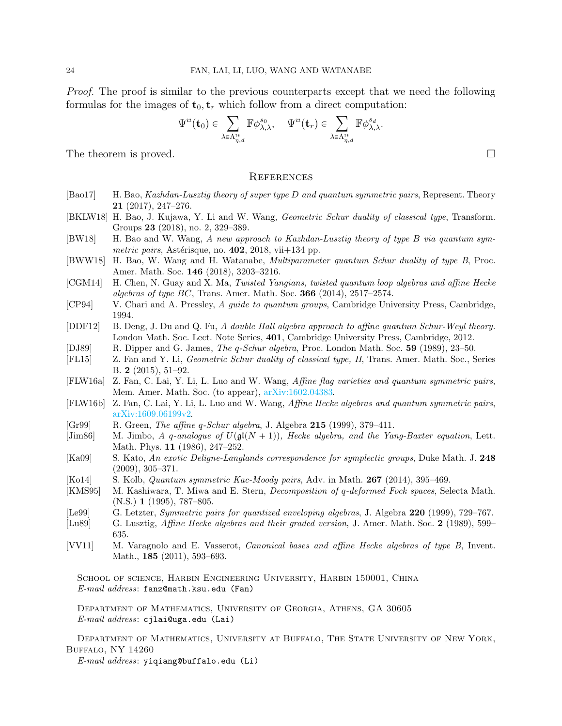Proof. The proof is similar to the previous counterparts except that we need the following formulas for the images of  $t_0$ ,  $t_r$  which follow from a direct computation:

$$
\Psi^u(\mathbf t_0)\in\sum_{\lambda\in\Lambda_{\eta,d}^u}\mathbb F\phi_{\lambda,\lambda}^{s_0},\quad \Psi^u(\mathbf t_r)\in\sum_{\lambda\in\Lambda_{\eta,d}^u}\mathbb F\phi_{\lambda,\lambda}^{s_d}.
$$

The theorem is proved.  $\square$ 

#### <span id="page-23-0"></span>**REFERENCES**

- <span id="page-23-5"></span>[Bao17] H. Bao, Kazhdan-Lusztig theory of super type D and quantum symmetric pairs, Represent. Theory 21 (2017), 247–276.
- <span id="page-23-14"></span>[BKLW18] H. Bao, J. Kujawa, Y. Li and W. Wang, Geometric Schur duality of classical type, Transform. Groups 23 (2018), no. 2, 329–389.
- <span id="page-23-4"></span> $|BW18|$  H. Bao and W. Wang, A new approach to Kazhdan-Lusztig theory of type B via quantum symmetric pairs, Astérisque, no.  $402$ , 2018, vii $+134$  pp.
- <span id="page-23-6"></span>[BWW18] H. Bao, W. Wang and H. Watanabe, Multiparameter quantum Schur duality of type B, Proc. Amer. Math. Soc. 146 (2018), 3203–3216.
- <span id="page-23-15"></span>[CGM14] H. Chen, N. Guay and X. Ma, Twisted Yangians, twisted quantum loop algebras and affine Hecke algebras of type  $BC$ , Trans. Amer. Math. Soc. **366** (2014), 2517–2574.
- <span id="page-23-2"></span>[CP94] V. Chari and A. Pressley, A guide to quantum groups, Cambridge University Press, Cambridge, 1994.
- <span id="page-23-18"></span>[DDF12] B. Deng, J. Du and Q. Fu, A double Hall algebra approach to affine quantum Schur-Weyl theory. London Math. Soc. Lect. Note Series, 401, Cambridge University Press, Cambridge, 2012.
- <span id="page-23-17"></span>[DJ89] R. Dipper and G. James, *The q-Schur algebra*, Proc. London Math. Soc. 59 (1989), 23–50.
- <span id="page-23-19"></span>[FL15] Z. Fan and Y. Li, Geometric Schur duality of classical type, II, Trans. Amer. Math. Soc., Series B. 2 (2015), 51–92.
- <span id="page-23-12"></span>[FLW16a] Z. Fan, C. Lai, Y. Li, L. Luo and W. Wang, Affine flag varieties and quantum symmetric pairs, Mem. Amer. Math. Soc. (to appear), [arXiv:1602.04383.](https://arxiv.org/abs/1602.04383)
- <span id="page-23-13"></span>[FLW16b] Z. Fan, C. Lai, Y. Li, L. Luo and W. Wang, Affine Hecke algebras and quantum symmetric pairs, [arXiv:1609.06199v2.](https://arxiv.org/abs/1609.06199)
- <span id="page-23-3"></span> $[Gr99]$  R. Green, The affine q-Schur algebra, J. Algebra 215 (1999), 379–411.
- <span id="page-23-1"></span>[Jim86] M. Jimbo, A q-analogue of  $U(\mathfrak{gl}(N + 1))$ , Hecke algebra, and the Yang-Baxter equation, Lett. Math. Phys. 11 (1986), 247–252.
- <span id="page-23-10"></span>[Ka09] S. Kato, An exotic Deligne-Langlands correspondence for symplectic groups, Duke Math. J. 248 (2009), 305–371.
- <span id="page-23-8"></span>[Ko14] S. Kolb, Quantum symmetric Kac-Moody pairs, Adv. in Math. 267 (2014), 395–469.
- <span id="page-23-16"></span>[KMS95] M. Kashiwara, T. Miwa and E. Stern, Decomposition of q-deformed Fock spaces, Selecta Math.  $(N.S.)$  1 (1995), 787–805.
- <span id="page-23-7"></span>[Le99] G. Letzter, Symmetric pairs for quantized enveloping algebras, J. Algebra 220 (1999), 729–767.
- <span id="page-23-9"></span>[Lu89] G. Lusztig, Affine Hecke algebras and their graded version, J. Amer. Math. Soc. 2 (1989), 599– 635.
- <span id="page-23-11"></span>[VV11] M. Varagnolo and E. Vasserot, Canonical bases and affine Hecke algebras of type B, Invent. Math., **185** (2011), 593–693.

School of science, Harbin Engineering University, Harbin 150001, China E-mail address: fanz@math.ksu.edu (Fan)

Department of Mathematics, University of Georgia, Athens, GA 30605 E-mail address: cjlai@uga.edu (Lai)

Department of Mathematics, University at Buffalo, The State University of New York, Buffalo, NY 14260

E-mail address: yiqiang@buffalo.edu (Li)